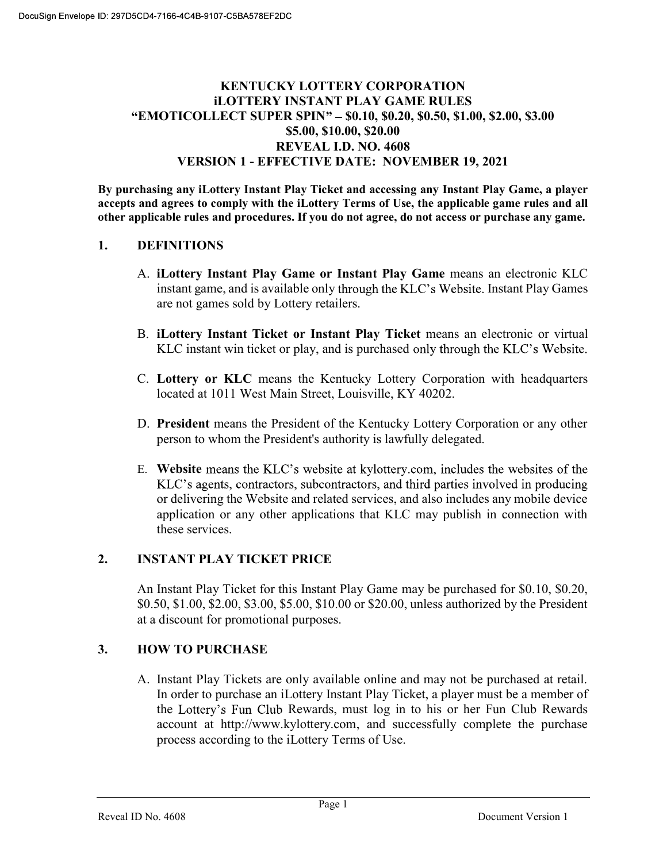### KENTUCKY LOTTERY CORPORATION iLOTTERY INSTANT PLAY GAME RULES "EMOTICOLLECT SUPER SPIN" - \$0.10, \$0.20, \$0.50, \$1.00, \$2.00, \$3.00 \$5.00, \$10.00, \$20.00 REVEAL I.D. NO. 4608 VERSION 1 - EFFECTIVE DATE: NOVEMBER 19, 2021

By purchasing any iLottery Instant Play Ticket and accessing any Instant Play Game, a player accepts and agrees to comply with the iLottery Terms of Use, the applicable game rules and all other applicable rules and procedures. If you do not agree, do not access or purchase any game.

#### 1. DEFINITIONS

- A. iLottery Instant Play Game or Instant Play Game means an electronic KLC instant game, and is available only through the KLC's Website. Instant Play Games are not games sold by Lottery retailers.
- B. iLottery Instant Ticket or Instant Play Ticket means an electronic or virtual KLC instant win ticket or play, and is purchased only through the KLC's Website.
- C. Lottery or KLC means the Kentucky Lottery Corporation with headquarters located at 1011 West Main Street, Louisville, KY 40202.
- D. President means the President of the Kentucky Lottery Corporation or any other person to whom the President's authority is lawfully delegated.
- E. Website means the KLC's website at kylottery.com, includes the websites of the KLC's agents, contractors, subcontractors, and third parties involved in producing or delivering the Website and related services, and also includes any mobile device application or any other applications that KLC may publish in connection with these services.

#### 2. INSTANT PLAY TICKET PRICE

An Instant Play Ticket for this Instant Play Game may be purchased for \$0.10, \$0.20, \$0.50, \$1.00, \$2.00, \$3.00, \$5.00, \$10.00 or \$20.00, unless authorized by the President at a discount for promotional purposes.

#### 3. HOW TO PURCHASE

A. Instant Play Tickets are only available online and may not be purchased at retail. In order to purchase an iLottery Instant Play Ticket, a player must be a member of the Lottery's Fun Club Rewards, must log in to his or her Fun Club Rewards account at http://www.kylottery.com, and successfully complete the purchase process according to the iLottery Terms of Use.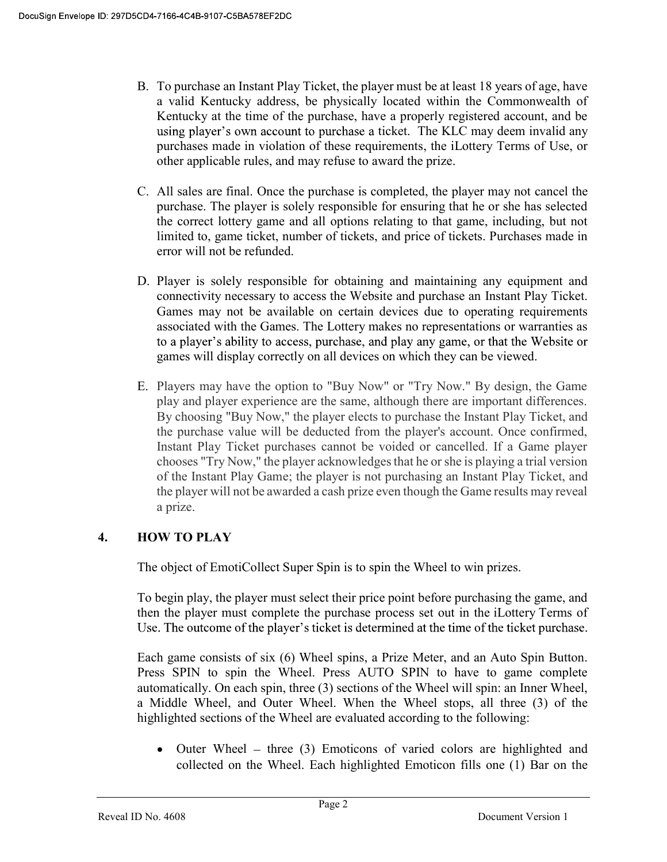- B. To purchase an Instant Play Ticket, the player must be at least 18 years of age, have a valid Kentucky address, be physically located within the Commonwealth of Kentucky at the time of the purchase, have a properly registered account, and be using player's own account to purchase a ticket. The KLC may deem invalid any purchases made in violation of these requirements, the iLottery Terms of Use, or other applicable rules, and may refuse to award the prize.
- C. All sales are final. Once the purchase is completed, the player may not cancel the purchase. The player is solely responsible for ensuring that he or she has selected the correct lottery game and all options relating to that game, including, but not limited to, game ticket, number of tickets, and price of tickets. Purchases made in error will not be refunded.
- D. Player is solely responsible for obtaining and maintaining any equipment and connectivity necessary to access the Website and purchase an Instant Play Ticket. Games may not be available on certain devices due to operating requirements associated with the Games. The Lottery makes no representations or warranties as to a player's ability to access, purchase, and play any game, or that the Website or games will display correctly on all devices on which they can be viewed.
- E. Players may have the option to "Buy Now" or "Try Now." By design, the Game play and player experience are the same, although there are important differences. By choosing "Buy Now," the player elects to purchase the Instant Play Ticket, and the purchase value will be deducted from the player's account. Once confirmed, Instant Play Ticket purchases cannot be voided or cancelled. If a Game player chooses "Try Now," the player acknowledges that he or she is playing a trial version of the Instant Play Game; the player is not purchasing an Instant Play Ticket, and the player will not be awarded a cash prize even though the Game results may reveal a prize.

# 4. HOW TO PLAY

The object of EmotiCollect Super Spin is to spin the Wheel to win prizes.

To begin play, the player must select their price point before purchasing the game, and then the player must complete the purchase process set out in the iLottery Terms of Use. The outcome of the player's ticket is determined at the time of the ticket purchase.

Each game consists of six (6) Wheel spins, a Prize Meter, and an Auto Spin Button. Press SPIN to spin the Wheel. Press AUTO SPIN to have to game complete automatically. On each spin, three (3) sections of the Wheel will spin: an Inner Wheel, a Middle Wheel, and Outer Wheel. When the Wheel stops, all three (3) of the highlighted sections of the Wheel are evaluated according to the following:

• Outer Wheel – three  $(3)$  Emoticons of varied colors are highlighted and collected on the Wheel. Each highlighted Emoticon fills one (1) Bar on the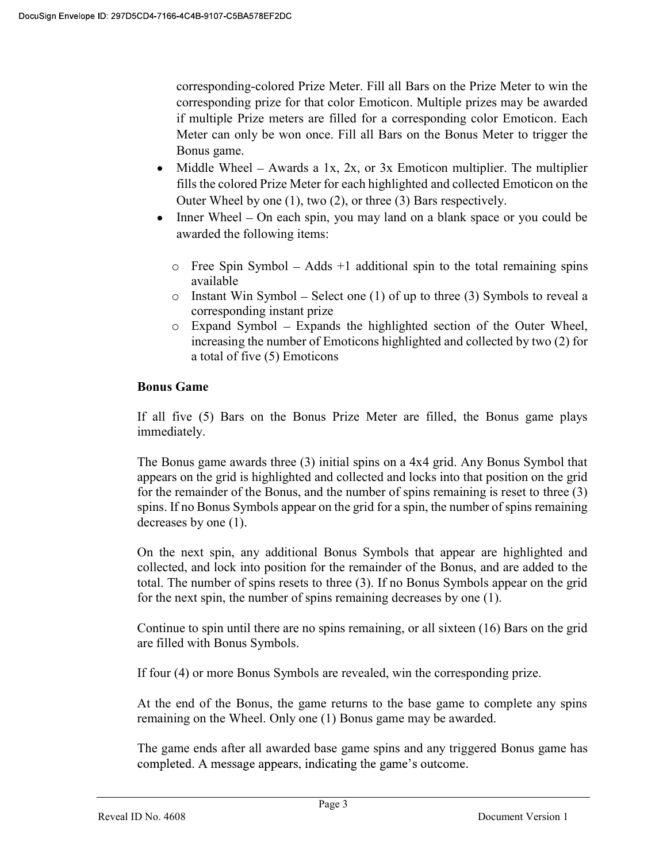corresponding-colored Prize Meter. Fill all Bars on the Prize Meter to win the corresponding prize for that color Emoticon. Multiple prizes may be awarded if multiple Prize meters are filled for a corresponding color Emoticon. Each Meter can only be won once. Fill all Bars on the Bonus Meter to trigger the Bonus game.

- Middle Wheel Awards a 1x, 2x, or 3x Emoticon multiplier. The multiplier fills the colored Prize Meter for each highlighted and collected Emoticon on the Outer Wheel by one (1), two (2), or three (3) Bars respectively.
- Inner Wheel On each spin, you may land on a blank space or you could be awarded the following items:
	- $\circ$  Free Spin Symbol Adds +1 additional spin to the total remaining spins available
	- o Instant Win Symbol Select one (1) of up to three (3) Symbols to reveal a corresponding instant prize
	- $\circ$  Expand Symbol Expands the highlighted section of the Outer Wheel, increasing the number of Emoticons highlighted and collected by two (2) for a total of five (5) Emoticons

#### Bonus Game

If all five (5) Bars on the Bonus Prize Meter are filled, the Bonus game plays immediately.

The Bonus game awards three (3) initial spins on a 4x4 grid. Any Bonus Symbol that appears on the grid is highlighted and collected and locks into that position on the grid for the remainder of the Bonus, and the number of spins remaining is reset to three (3) spins. If no Bonus Symbols appear on the grid for a spin, the number of spins remaining decreases by one (1).

On the next spin, any additional Bonus Symbols that appear are highlighted and collected, and lock into position for the remainder of the Bonus, and are added to the total. The number of spins resets to three (3). If no Bonus Symbols appear on the grid for the next spin, the number of spins remaining decreases by one (1).

Continue to spin until there are no spins remaining, or all sixteen (16) Bars on the grid are filled with Bonus Symbols.

If four (4) or more Bonus Symbols are revealed, win the corresponding prize.

At the end of the Bonus, the game returns to the base game to complete any spins remaining on the Wheel. Only one (1) Bonus game may be awarded.

The game ends after all awarded base game spins and any triggered Bonus game has completed. A message appears, indicating the game's outcome.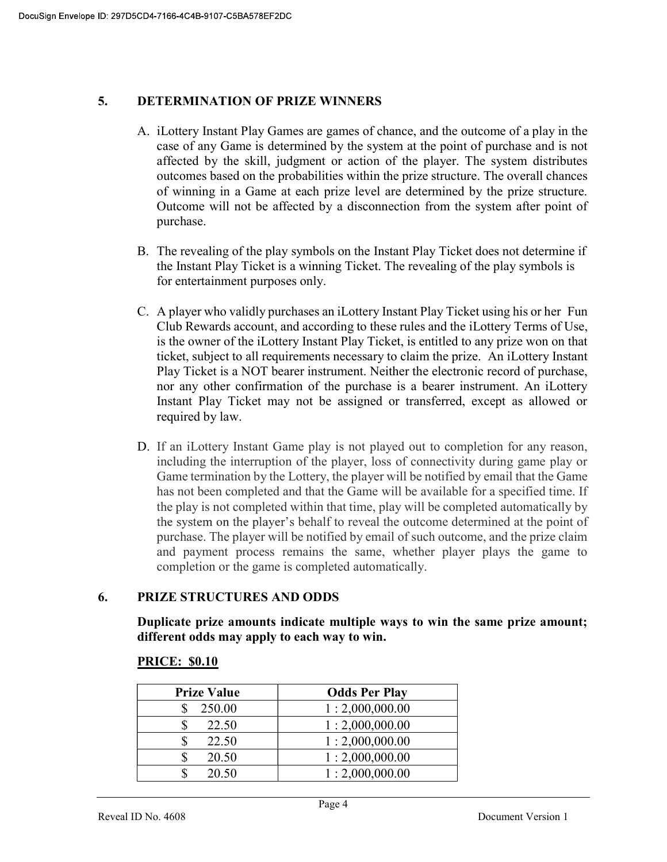#### 5. DETERMINATION OF PRIZE WINNERS

- A. iLottery Instant Play Games are games of chance, and the outcome of a play in the case of any Game is determined by the system at the point of purchase and is not affected by the skill, judgment or action of the player. The system distributes outcomes based on the probabilities within the prize structure. The overall chances of winning in a Game at each prize level are determined by the prize structure. Outcome will not be affected by a disconnection from the system after point of purchase.
- B. The revealing of the play symbols on the Instant Play Ticket does not determine if the Instant Play Ticket is a winning Ticket. The revealing of the play symbols is for entertainment purposes only.
- C. A player who validly purchases an iLottery Instant Play Ticket using his or her Fun Club Rewards account, and according to these rules and the iLottery Terms of Use, is the owner of the iLottery Instant Play Ticket, is entitled to any prize won on that ticket, subject to all requirements necessary to claim the prize. An iLottery Instant Play Ticket is a NOT bearer instrument. Neither the electronic record of purchase, nor any other confirmation of the purchase is a bearer instrument. An iLottery Instant Play Ticket may not be assigned or transferred, except as allowed or required by law.
- D. If an iLottery Instant Game play is not played out to completion for any reason, including the interruption of the player, loss of connectivity during game play or Game termination by the Lottery, the player will be notified by email that the Game has not been completed and that the Game will be available for a specified time. If the play is not completed within that time, play will be completed automatically by the system on the player's behalf to reveal the outcome determined at the point of purchase. The player will be notified by email of such outcome, and the prize claim and payment process remains the same, whether player plays the game to completion or the game is completed automatically.

### 6. PRIZE STRUCTURES AND ODDS

Duplicate prize amounts indicate multiple ways to win the same prize amount; different odds may apply to each way to win.

| <b>Prize Value</b> | <b>Odds Per Play</b> |
|--------------------|----------------------|
| 250.00             | 1:2,000,000.00       |
| 22.50              | 1:2,000,000.00       |
| 22.50              | 1:2,000,000.00       |
| 20.50              | 1:2,000,000.00       |
| 20.50              | 1:2,000,000.00       |

#### PRICE: \$0.10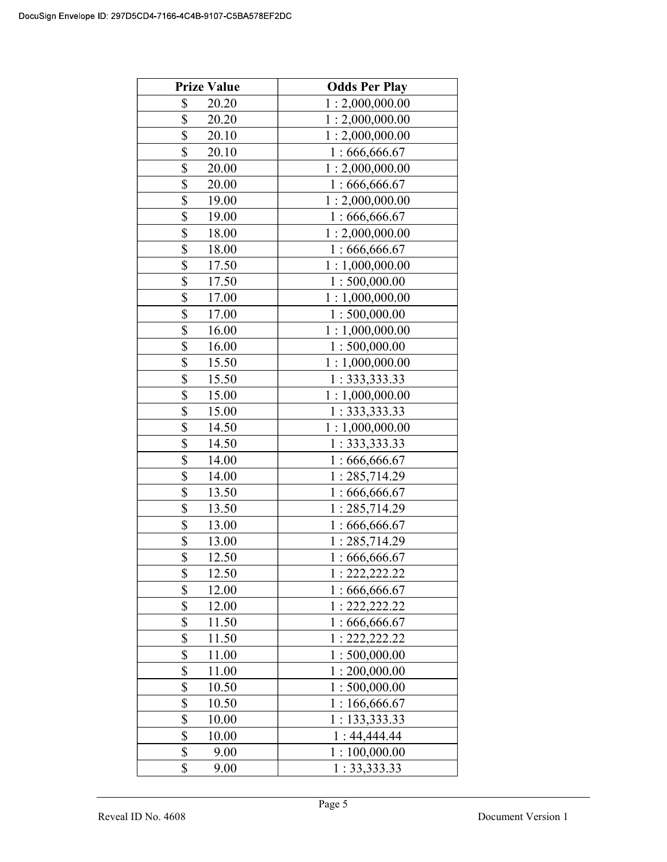| <b>Prize Value</b> | <b>Odds Per Play</b> |
|--------------------|----------------------|
| \$<br>20.20        | 1:2,000,000.00       |
| \$<br>20.20        | 1:2,000,000.00       |
| \$<br>20.10        | 1:2,000,000.00       |
| \$<br>20.10        | 1:666,666.67         |
| \$<br>20.00        | 1:2,000,000.00       |
| \$<br>20.00        | 1:666,666.67         |
| \$<br>19.00        | 1:2,000,000.00       |
| \$<br>19.00        | 1:666,666.67         |
| \$<br>18.00        | 1:2,000,000.00       |
| \$<br>18.00        | 1:666,666.67         |
| \$<br>17.50        | 1:1,000,000.00       |
| \$<br>17.50        | 1:500,000.00         |
| \$<br>17.00        | 1:1,000,000.00       |
| \$<br>17.00        | 1:500,000.00         |
| \$<br>16.00        | 1:1,000,000.00       |
| \$<br>16.00        | 1:500,000.00         |
| \$<br>15.50        | 1:1,000,000.00       |
| \$<br>15.50        | 1: 333, 333.33       |
| \$<br>15.00        | 1:1,000,000.00       |
| \$<br>15.00        | 1: 333, 333.33       |
| \$<br>14.50        | 1:1,000,000.00       |
| \$<br>14.50        | 1:333,333.33         |
| \$<br>14.00        | 1:666,666.67         |
| \$<br>14.00        | 1:285,714.29         |
| \$<br>13.50        | 1:666,666.67         |
| \$<br>13.50        | 1:285,714.29         |
| \$<br>13.00        | 1:666,666.67         |
| \$<br>13.00        | 1:285,714.29         |
| \$<br>12.50        | 1:666,666.67         |
| \$<br>12.50        | 1: 222, 222.22       |
| \$<br>12.00        | 1:666,666.67         |
| \$<br>12.00        | 1: 222, 222.22       |
| \$<br>11.50        | 1:666,666.67         |
| \$<br>11.50        | 1: 222, 222.22       |
| \$<br>11.00        | 1:500,000.00         |
| \$<br>11.00        | 1:200,000.00         |
| \$<br>10.50        | 1:500,000.00         |
| \$<br>10.50        | 1:166,666.67         |
| \$<br>10.00        | 1: 133,333.33        |
| \$<br>10.00        | 1:44,444.44          |
| \$<br>9.00         | 1:100,000.00         |
| \$<br>9.00         | 1: 33,333.33         |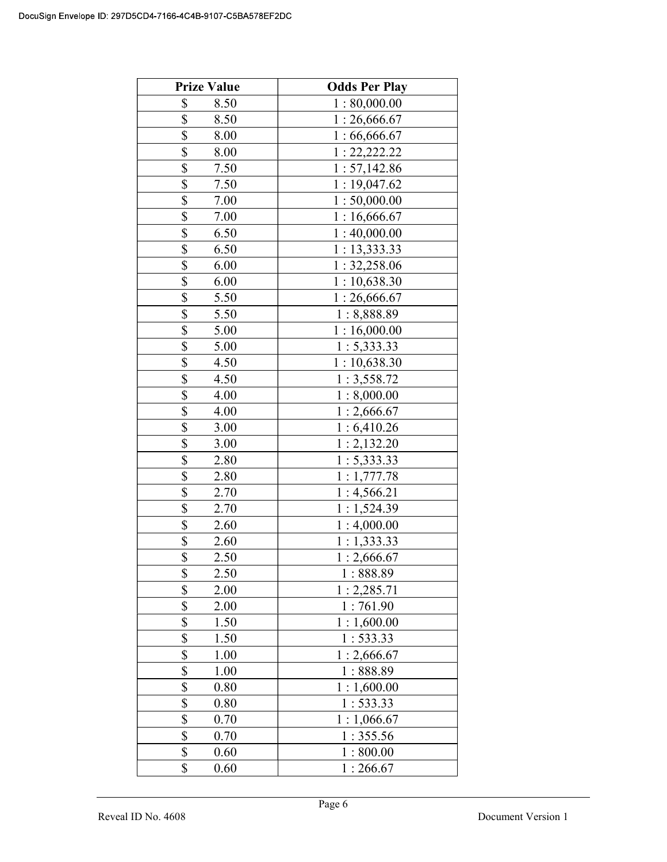| <b>Prize Value</b>      | <b>Odds Per Play</b> |
|-------------------------|----------------------|
| \$<br>8.50              | 1:80,000.00          |
| \$<br>8.50              | 1:26,666.67          |
| \$<br>8.00              | 1:66,666.67          |
| \$<br>8.00              | 1: 22, 222.22        |
| \$<br>7.50              | 1: 57,142.86         |
| \$<br>7.50              | 1:19,047.62          |
| \$<br>7.00              | 1:50,000.00          |
| \$<br>7.00              | 1:16,666.67          |
| \$<br>6.50              | 1:40,000.00          |
| \$<br>6.50              | 1: 13,333.33         |
| \$<br>6.00              | 1: 32,258.06         |
| \$<br>6.00              | 1:10,638.30          |
| \$<br>5.50              | 1:26,666.67          |
| \$<br>5.50              | 1:8,888.89           |
| \$<br>5.00              | 1:16,000.00          |
| \$<br>5.00              | 1: 5,333.33          |
| \$<br>4.50              | 1:10,638.30          |
| \$<br>4.50              | 1:3,558.72           |
| \$<br>4.00              | 1:8,000.00           |
| \$<br>4.00              | 1:2,666.67           |
| \$<br>3.00              | 1:6,410.26           |
| \$<br>3.00              | 1:2,132.20           |
| \$<br>2.80              | 1: 5,333.33          |
| \$<br>2.80              | 1:1,777.78           |
| \$<br>2.70              | 1:4,566.21           |
| \$<br>2.70              | 1:1,524.39           |
| \$<br>2.60              | 1:4,000.00           |
| \$<br>2.60              | 1:1,333.33           |
| \$<br>2.50              | 1:2,666.67           |
| \$<br>2.50              | 1:888.89             |
| \$<br>2.00              | 1:2,285.71           |
| \$<br>2.00              | 1:761.90             |
| \$<br>1.50              | 1:1,600.00           |
| \$<br>1.50              | 1:533.33             |
| $\overline{\$}$<br>1.00 | 1:2,666.67           |
| \$<br>1.00              | 1:888.89             |
| \$<br>0.80              | 1:1,600.00           |
| \$<br>0.80              | 1:533.33             |
| \$<br>0.70              | 1:1,066.67           |
| \$<br>0.70              | 1:355.56             |
| \$<br>0.60              | 1:800.00             |
| \$<br>0.60              | 1:266.67             |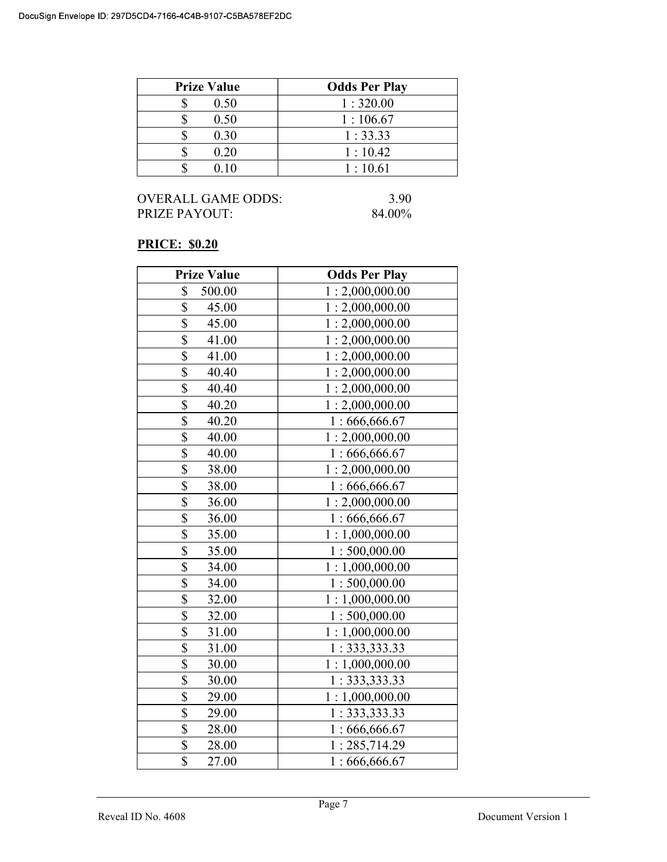| <b>Prize Value</b> | <b>Odds Per Play</b> |
|--------------------|----------------------|
| 0.50               | 1:320.00             |
| 0.50               | 1:106.67             |
| 0.30               | 1:33.33              |
| 0.20               | 1:10.42              |
| 0 1 O              | 1:10.61              |

### PRICE: \$0.20

| <b>Prize Value</b>               | <b>Odds Per Play</b> |
|----------------------------------|----------------------|
| \$<br>500.00                     | 1:2,000,000.00       |
| \$<br>45.00                      | 1:2,000,000.00       |
| $\overline{\$}$<br>45.00         | 1:2,000,000.00       |
| \$<br>41.00                      | 1:2,000,000.00       |
| $\overline{\$}$<br>41.00         | 1:2,000,000.00       |
| \$<br>40.40                      | 1:2,000,000.00       |
| \$<br>40.40                      | 1:2,000,000.00       |
| \$<br>40.20                      | 1:2,000,000.00       |
| $\overline{\mathbb{S}}$<br>40.20 | 1:666,666.67         |
| $\overline{\$}$<br>40.00         | 1:2,000,000.00       |
| \$<br>40.00                      | 1:666,666.67         |
| \$<br>38.00                      | 1:2,000,000.00       |
| \$<br>38.00                      | 1:666,666.67         |
| $\overline{\mathbb{S}}$<br>36.00 | 1:2,000,000.00       |
| \$<br>36.00                      | 1:666,666.67         |
| \$<br>35.00                      | 1:1,000,000.00       |
| $\overline{\$}$<br>35.00         | 1:500,000.00         |
| \$<br>34.00                      | 1:1,000,000.00       |
| \$<br>34.00                      | 1:500,000.00         |
| $\overline{\$}$<br>32.00         | 1:1,000,000.00       |
| \$<br>32.00                      | 1:500,000.00         |
| $\overline{\$}$<br>31.00         | 1:1,000,000.00       |
| \$<br>31.00                      | 1: 333,333.33        |
| $\overline{\$}$<br>30.00         | 1:1,000,000.00       |
| \$<br>30.00                      | 1: 333, 333.33       |
| \$<br>29.00                      | 1:1,000,000.00       |
| \$<br>29.00                      | 1: 333, 333.33       |
| $\overline{\mathbb{S}}$<br>28.00 | 1:666,666.67         |
| $\overline{\mathbb{S}}$<br>28.00 | 1:285,714.29         |
| $\overline{\mathbb{S}}$<br>27.00 | 1:666,666.67         |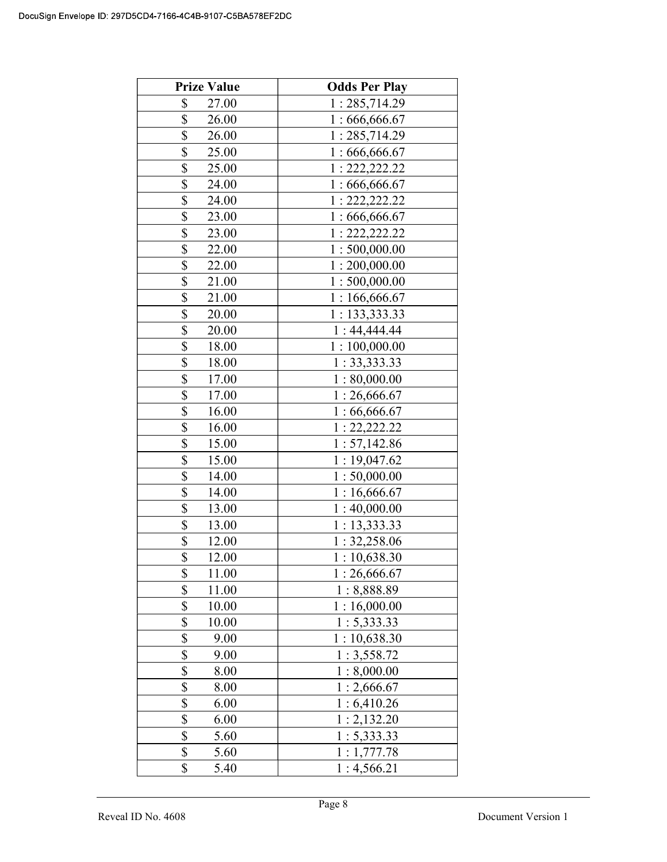| <b>Prize Value</b>               | <b>Odds Per Play</b> |
|----------------------------------|----------------------|
| \$<br>27.00                      | 1:285,714.29         |
| \$<br>26.00                      | 1:666,666.67         |
| \$<br>26.00                      | 1:285,714.29         |
| $\overline{\mathbb{S}}$<br>25.00 | 1:666,666.67         |
| \$<br>25.00                      | 1: 222, 222.22       |
| \$<br>24.00                      | 1:666,666.67         |
| \$<br>24.00                      | 1: 222, 222.22       |
| \$<br>23.00                      | 1:666,666.67         |
| \$<br>23.00                      | 1: 222, 222.22       |
| \$<br>22.00                      | 1:500,000.00         |
| \$<br>22.00                      | 1:200,000.00         |
| \$<br>21.00                      | 1:500,000.00         |
| \$<br>21.00                      | 1:166,666.67         |
| \$<br>20.00                      | 1:133,333.33         |
| \$<br>20.00                      | 1:44,444.44          |
| \$<br>18.00                      | 1:100,000.00         |
| \$<br>18.00                      | 1: 33,333.33         |
| \$<br>17.00                      | 1:80,000.00          |
| \$<br>17.00                      | 1:26,666.67          |
| \$<br>16.00                      | 1:66,666.67          |
| \$<br>16.00                      | 1: 22, 222.22        |
| \$<br>15.00                      | 1: 57,142.86         |
| \$<br>15.00                      | 1:19,047.62          |
| \$<br>14.00                      | 1:50,000.00          |
| \$<br>14.00                      | 1:16,666.67          |
| \$<br>13.00                      | 1:40,000.00          |
| \$<br>13.00                      | 1: 13, 333.33        |
| \$<br>12.00                      | 1: 32,258.06         |
| $\overline{\mathbb{S}}$<br>12.00 | 1:10,638.30          |
| \$<br>11.00                      | 1:26,666.67          |
| \$<br>11.00                      | 1:8,888.89           |
| \$<br>10.00                      | 1:16,000.00          |
| \$<br>10.00                      | 1: 5,333.33          |
| \$<br>9.00                       | 1:10,638.30          |
| $\overline{\$}$<br>9.00          | 1:3,558.72           |
| \$<br>8.00                       | 1:8,000.00           |
| \$<br>8.00                       | 1:2,666.67           |
| \$<br>6.00                       | 1:6,410.26           |
| \$<br>6.00                       | 1:2,132.20           |
| \$<br>5.60                       | 1: 5,333.33          |
| \$<br>5.60                       | 1:1,777.78           |
| \$<br>5.40                       | 1:4,566.21           |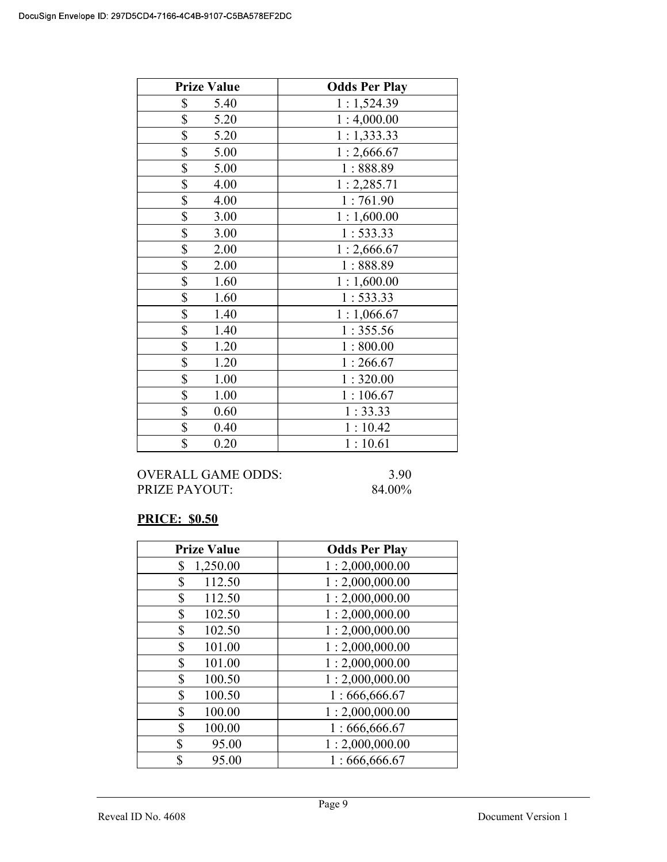| <b>Prize Value</b> | <b>Odds Per Play</b> |
|--------------------|----------------------|
| \$<br>5.40         | 1:1,524.39           |
| \$<br>5.20         | 1:4,000.00           |
| \$<br>5.20         | 1:1,333.33           |
| \$<br>5.00         | 1:2,666.67           |
| \$<br>5.00         | 1:888.89             |
| \$<br>4.00         | 1:2,285.71           |
| \$<br>4.00         | 1:761.90             |
| \$<br>3.00         | 1:1,600.00           |
| \$<br>3.00         | 1:533.33             |
| \$<br>2.00         | 1:2,666.67           |
| \$<br>2.00         | 1:888.89             |
| \$<br>1.60         | 1:1,600.00           |
| \$<br>1.60         | 1:533.33             |
| \$<br>1.40         | 1:1,066.67           |
| \$<br>1.40         | 1:355.56             |
| \$<br>1.20         | 1:800.00             |
| \$<br>1.20         | 1:266.67             |
| \$<br>1.00         | 1:320.00             |
| \$<br>1.00         | 1:106.67             |
| \$<br>0.60         | 1:33.33              |
| \$<br>0.40         | 1:10.42              |
| \$<br>0.20         | 1:10.61              |

OVERALL GAME ODDS: 3.90 PRIZE PAYOUT: 84.00%

# PRICE: \$0.50

| <b>Prize Value</b> | <b>Odds Per Play</b> |
|--------------------|----------------------|
| 1,250.00<br>\$     | 1:2,000,000.00       |
| \$<br>112.50       | 1:2,000,000.00       |
| \$<br>112.50       | 1:2,000,000.00       |
| \$<br>102.50       | 1:2,000,000.00       |
| \$<br>102.50       | 1:2,000,000.00       |
| \$<br>101.00       | 1:2,000,000.00       |
| \$<br>101.00       | 1:2,000,000.00       |
| \$<br>100.50       | 1:2,000,000.00       |
| \$<br>100.50       | 1:666,666.67         |
| \$<br>100.00       | 1:2,000,000.00       |
| \$<br>100.00       | 1:666,666.67         |
| \$<br>95.00        | 1:2,000,000.00       |
| \$<br>95.00        | 1:666,666.67         |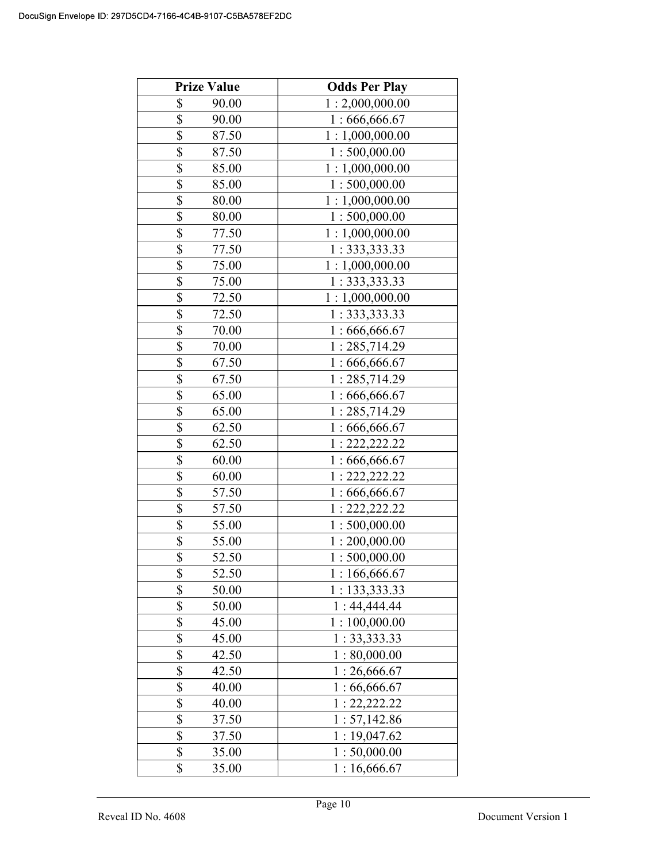| <b>Prize Value</b>               | <b>Odds Per Play</b> |
|----------------------------------|----------------------|
| \$<br>90.00                      | 1:2,000,000.00       |
| \$<br>90.00                      | 1:666,666.67         |
| \$<br>87.50                      | 1:1,000,000.00       |
| \$<br>87.50                      | 1:500,000.00         |
| \$<br>85.00                      | 1:1,000,000.00       |
| $\overline{\mathbb{S}}$<br>85.00 | 1:500,000.00         |
| \$<br>80.00                      | 1:1,000,000.00       |
| \$<br>80.00                      | 1:500,000.00         |
| \$<br>77.50                      | 1:1,000,000.00       |
| \$<br>77.50                      | 1: 333, 333.33       |
| \$<br>75.00                      | 1:1,000,000.00       |
| \$<br>75.00                      | 1: 333, 333.33       |
| \$<br>72.50                      | 1:1,000,000.00       |
| \$<br>72.50                      | 1: 333, 333.33       |
| \$<br>70.00                      | 1:666,666.67         |
| \$<br>70.00                      | 1:285,714.29         |
| \$<br>67.50                      | 1:666,666.67         |
| \$<br>67.50                      | 1:285,714.29         |
| \$<br>65.00                      | 1:666,666.67         |
| \$<br>65.00                      | 1:285,714.29         |
| \$<br>62.50                      | 1:666,666.67         |
| \$<br>62.50                      | 1: 222, 222.22       |
| \$<br>60.00                      | 1:666,666.67         |
| \$<br>60.00                      | 1: 222, 222.22       |
| \$<br>57.50                      | 1:666,666.67         |
| \$<br>57.50                      | 1: 222, 222.22       |
| $\overline{\$}$<br>55.00         | 1:500,000.00         |
| \$<br>55.00                      | 1:200,000.00         |
| $\overline{\mathbb{S}}$<br>52.50 | 1:500,000.00         |
| \$<br>52.50                      | 1:166,666.67         |
| \$<br>50.00                      | 1:133,333.33         |
| \$<br>50.00                      | 1:44,444.44          |
| \$<br>45.00                      | 1:100,000.00         |
| \$<br>45.00                      | 1: 33,333.33         |
| \$<br>42.50                      | 1:80,000.00          |
| \$<br>42.50                      | 1:26,666.67          |
| \$<br>40.00                      | 1:66,666.67          |
| \$<br>40.00                      | 1: 22, 222.22        |
| \$<br>37.50                      | 1: 57,142.86         |
| \$<br>37.50                      | 1:19,047.62          |
| \$<br>35.00                      | 1:50,000.00          |
| \$<br>35.00                      | 1:16,666.67          |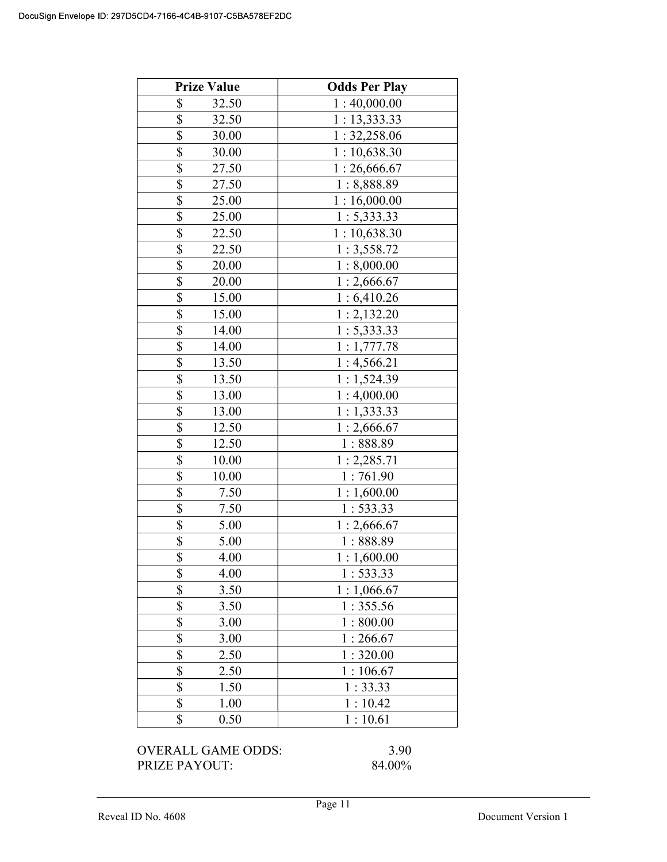|                                    | <b>Odds Per Play</b> |
|------------------------------------|----------------------|
| \$<br>32.50                        | 1:40,000.00          |
| \$<br>32.50                        | 1: 13,333.33         |
| \$<br>30.00                        | 1: 32,258.06         |
| \$<br>30.00                        | 1:10,638.30          |
| \$<br>27.50                        | 1:26,666.67          |
| $\overline{\mathbf{S}}$<br>27.50   | 1:8,888.89           |
| $\overline{\$}$<br>25.00           | 1:16,000.00          |
| \$<br>25.00                        | 1: 5,333.33          |
| \$<br>22.50                        | 1:10,638.30          |
| \$<br>22.50                        | 1:3,558.72           |
| \$<br>20.00                        | 1:8,000.00           |
| $\boldsymbol{\mathsf{S}}$<br>20.00 | 1:2,666.67           |
| $\overline{\$}$<br>15.00           | 1:6,410.26           |
| $\overline{\mathbb{S}}$<br>15.00   | 1:2,132.20           |
| $\overline{\$}$<br>14.00           | 1: 5,333.33          |
| \$<br>14.00                        | 1:1,777.78           |
| \$<br>13.50                        | 1:4,566.21           |
| \$<br>13.50                        | 1:1,524.39           |
| \$<br>13.00                        | 1:4,000.00           |
| \$<br>13.00                        | 1:1,333.33           |
| \$<br>12.50                        | 1:2,666.67           |
| $\overline{\$}$<br>12.50           | 1:888.89             |
| $\overline{\mathbb{S}}$<br>10.00   | 1:2,285.71           |
| \$<br>10.00                        | 1:761.90             |
| \$<br>7.50                         | 1:1,600.00           |
| \$<br>7.50                         | 1:533.33             |
| \$<br>5.00                         | 1:2,666.67           |
| \$<br>5.00                         | 1:888.89             |
| \$<br>4.00                         | 1:1,600.00           |
| \$<br>4.00                         | 1:533.33             |
| \$<br>3.50                         | 1:1,066.67           |
| \$<br>3.50                         | 1:355.56             |
| \$<br>3.00                         | 1:800.00             |
| $\overline{\$}$<br>3.00            | 1:266.67             |
| $\overline{\mathcal{S}}$<br>2.50   | 1:320.00             |
| $\overline{\$}$<br>2.50            | 1:106.67             |
| \$<br>1.50                         | 1:33.33              |
| $\overline{\$}$<br>1.00            | 1:10.42              |
| \$<br>0.50                         | 1:10.61              |
|                                    |                      |

PRIZE PAYOUT: 84.00%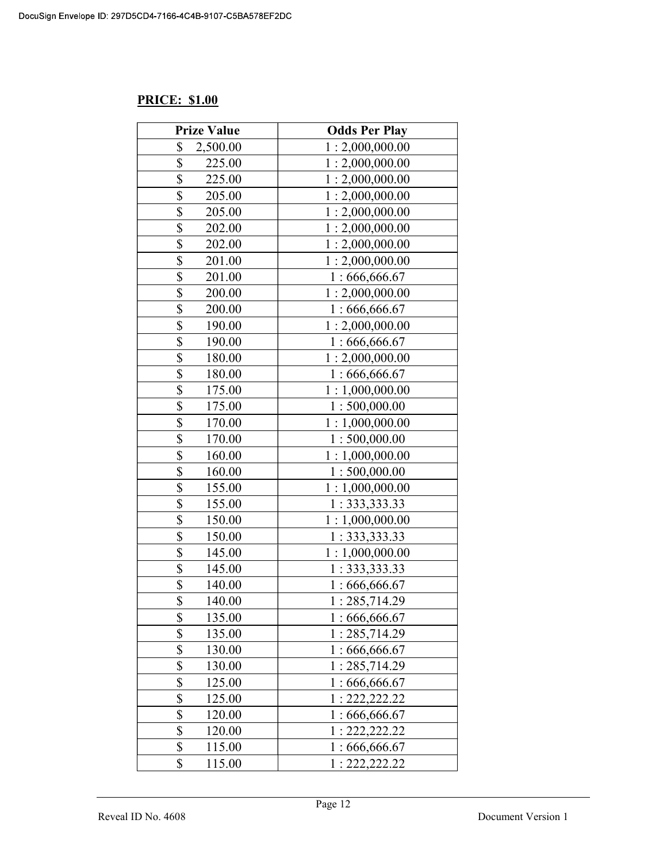# PRICE: \$1.00

| <b>Prize Value</b>                | <b>Odds Per Play</b> |
|-----------------------------------|----------------------|
| \$<br>2,500.00                    | 1:2,000,000.00       |
| \$<br>225.00                      | 1:2,000,000.00       |
| \$<br>225.00                      | 1:2,000,000.00       |
| \$<br>205.00                      | 1:2,000,000.00       |
| \$<br>205.00                      | 1:2,000,000.00       |
| \$<br>202.00                      | 1:2,000,000.00       |
| \$<br>202.00                      | 1:2,000,000.00       |
| \$<br>201.00                      | 1:2,000,000.00       |
| \$<br>201.00                      | 1:666,666.67         |
| \$<br>200.00                      | 1:2,000,000.00       |
| \$<br>200.00                      | 1:666,666.67         |
| \$<br>190.00                      | 1:2,000,000.00       |
| \$<br>190.00                      | 1:666,666.67         |
| \$<br>180.00                      | 1:2,000,000.00       |
| \$<br>180.00                      | 1:666,666.67         |
| \$<br>175.00                      | 1:1,000,000.00       |
| \$<br>175.00                      | 1:500,000.00         |
| \$<br>170.00                      | 1:1,000,000.00       |
| \$<br>170.00                      | 1:500,000.00         |
| \$<br>160.00                      | 1:1,000,000.00       |
| \$<br>160.00                      | 1:500,000.00         |
| $\overline{\mathbb{S}}$<br>155.00 | 1:1,000,000.00       |
| \$<br>155.00                      | 1: 333, 333.33       |
| $\overline{\$}$<br>150.00         | 1:1,000,000.00       |
| $\overline{\$}$<br>150.00         | 1: 333, 333.33       |
| \$<br>145.00                      | 1:1,000,000.00       |
| \$<br>145.00                      | 1: 333, 333.33       |
| \$<br>140.00                      | 1:666,666.67         |
| \$<br>140.00                      | 1:285,714.29         |
| \$<br>135.00                      | 1:666,666.67         |
| \$<br>135.00                      | 1:285,714.29         |
| \$<br>130.00                      | 1:666,666.67         |
| \$<br>130.00                      | 1:285,714.29         |
| \$<br>125.00                      | 1:666,666.67         |
| \$<br>125.00                      | 1: 222, 222.22       |
| \$<br>120.00                      | 1:666,666.67         |
| \$<br>120.00                      | 1: 222, 222.22       |
| \$<br>115.00                      | 1:666,666.67         |
| \$<br>115.00                      | 1: 222, 222.22       |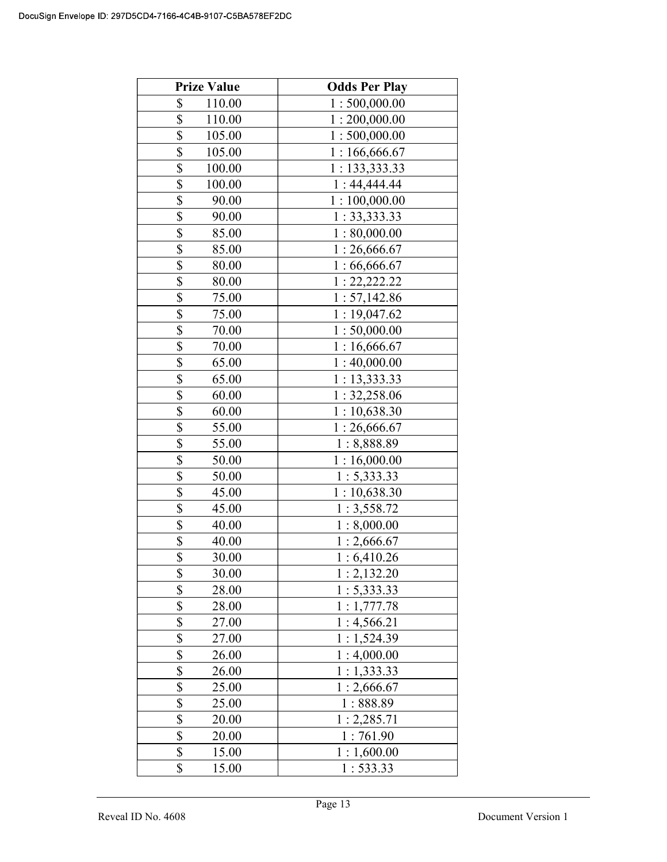| <b>Prize Value</b>        | <b>Odds Per Play</b> |
|---------------------------|----------------------|
| \$<br>110.00              | 1:500,000.00         |
| $\overline{\$}$<br>110.00 | 1:200,000.00         |
| $\overline{\$}$<br>105.00 | 1:500,000.00         |
| \$<br>105.00              | 1:166,666.67         |
| $\overline{\$}$<br>100.00 | 1: 133,333.33        |
| \$<br>100.00              | 1:44,444.44          |
| \$<br>90.00               | 1:100,000.00         |
| \$<br>90.00               | 1: 33,333.33         |
| \$<br>85.00               | 1:80,000.00          |
| $\overline{\$}$<br>85.00  | 1:26,666.67          |
| \$<br>80.00               | 1:66,666.67          |
| $\overline{\$}$<br>80.00  | 1: 22, 222.22        |
| \$<br>75.00               | 1: 57,142.86         |
| \$<br>75.00               | 1:19,047.62          |
| \$<br>70.00               | 1:50,000.00          |
| \$<br>70.00               | 1:16,666.67          |
| \$<br>65.00               | 1:40,000.00          |
| \$<br>65.00               | 1: 13,333.33         |
| \$<br>60.00               | 1: 32,258.06         |
| \$<br>60.00               | 1:10,638.30          |
| \$<br>55.00               | 1:26,666.67          |
| \$<br>55.00               | 1:8,888.89           |
| \$<br>50.00               | 1:16,000.00          |
| \$<br>50.00               | 1: 5,333.33          |
| \$<br>45.00               | 1:10,638.30          |
| \$<br>45.00               | 1:3,558.72           |
| \$<br>40.00               | 1:8,000.00           |
| \$<br>40.00               | 1:2,666.67           |
| \$<br>30.00               | 1:6,410.26           |
| \$<br>30.00               | 1:2,132.20           |
| \$<br>28.00               | 1: 5,333.33          |
| \$<br>28.00               | 1:1,777.78           |
| \$<br>27.00               | 1:4,566.21           |
| $\frac{1}{\$}$<br>27.00   | 1:1,524.39           |
| \$<br>26.00               | 1:4,000.00           |
| \$<br>26.00               | 1:1,333.33           |
| \$<br>25.00               | 1:2,666.67           |
| \$<br>25.00               | 1:888.89             |
| \$<br>20.00               | 1: 2,285.71          |
| \$<br>20.00               | 1:761.90             |
| \$<br>15.00               | 1:1,600.00           |
| \$<br>15.00               | 1:533.33             |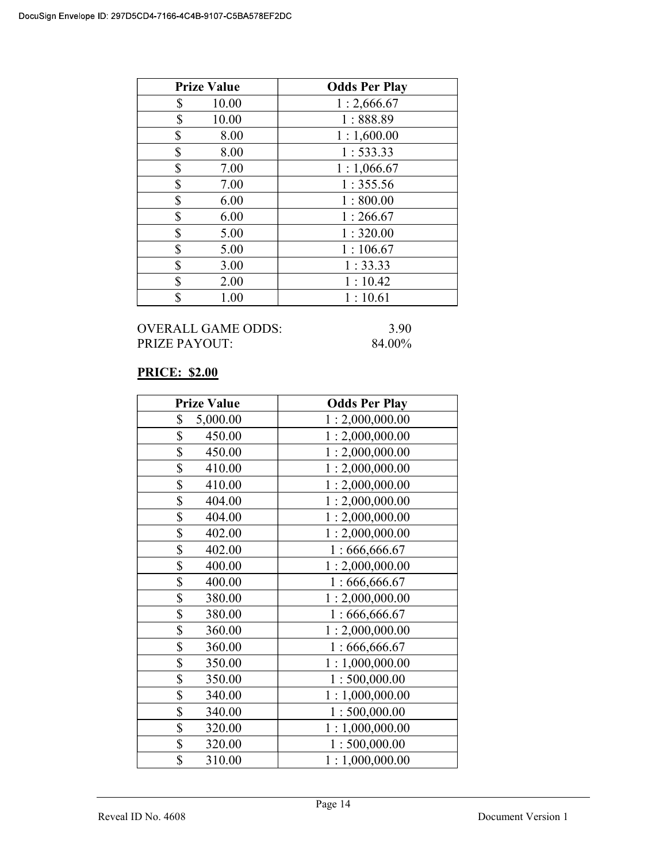| <b>Prize Value</b> | <b>Odds Per Play</b> |
|--------------------|----------------------|
| \$<br>10.00        | 1:2,666.67           |
| \$<br>10.00        | 1:888.89             |
| \$<br>8.00         | 1:1,600.00           |
| \$<br>8.00         | 1:533.33             |
| \$<br>7.00         | 1:1,066.67           |
| \$<br>7.00         | 1:355.56             |
| \$<br>6.00         | 1:800.00             |
| \$<br>6.00         | 1:266.67             |
| \$<br>5.00         | 1:320.00             |
| \$<br>5.00         | 1:106.67             |
| \$<br>3.00         | 1:33.33              |
| \$<br>2.00         | 1:10.42              |
| \$<br>1.00         | 1:10.61              |

# PRICE: \$2.00

| <b>Prize Value</b> | <b>Odds Per Play</b> |
|--------------------|----------------------|
| \$<br>5,000.00     | 1:2,000,000.00       |
| \$<br>450.00       | 1:2,000,000.00       |
| \$<br>450.00       | 1:2,000,000.00       |
| \$<br>410.00       | 1:2,000,000.00       |
| \$<br>410.00       | 1:2,000,000.00       |
| \$<br>404.00       | 1:2,000,000.00       |
| \$<br>404.00       | 1:2,000,000.00       |
| \$<br>402.00       | 1:2,000,000.00       |
| \$<br>402.00       | 1:666,666.67         |
| \$<br>400.00       | 1:2,000,000.00       |
| \$<br>400.00       | 1:666,666.67         |
| \$<br>380.00       | 1:2,000,000.00       |
| \$<br>380.00       | 1:666,666.67         |
| \$<br>360.00       | 1:2,000,000.00       |
| \$<br>360.00       | 1:666,666.67         |
| \$<br>350.00       | 1:1,000,000.00       |
| \$<br>350.00       | 1:500,000.00         |
| \$<br>340.00       | 1:1,000,000.00       |
| \$<br>340.00       | 1:500,000.00         |
| \$<br>320.00       | 1:1,000,000.00       |
| \$<br>320.00       | 1:500,000.00         |
| \$<br>310.00       | 1:1,000,000.00       |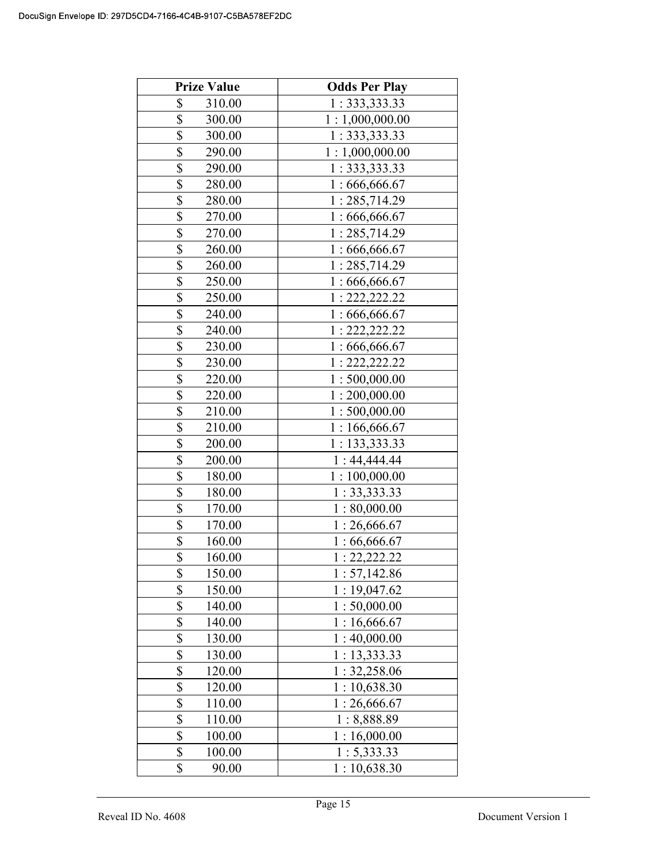| <b>Prize Value</b>                | <b>Odds Per Play</b> |
|-----------------------------------|----------------------|
| \$<br>310.00                      | 1: 333, 333.33       |
| \$<br>300.00                      | 1:1,000,000.00       |
| \$<br>300.00                      | 1: 333, 333.33       |
| \$<br>290.00                      | 1:1,000,000.00       |
| \$<br>290.00                      | 1:333,333.33         |
| $\overline{\$}$<br>280.00         | 1:666,666.67         |
| $\overline{\$}$<br>280.00         | 1:285,714.29         |
| $\overline{\$}$<br>270.00         | 1:666,666.67         |
| \$<br>270.00                      | 1:285,714.29         |
| \$<br>260.00                      | 1:666,666.67         |
| \$<br>260.00                      | 1:285,714.29         |
| \$<br>250.00                      | 1:666,666.67         |
| $\overline{\$}$<br>250.00         | 1: 222, 222.22       |
| $\overline{\$}$<br>240.00         | 1:666,666.67         |
| \$<br>240.00                      | 1: 222, 222.22       |
| $\overline{\$}$<br>230.00         | 1:666,666.67         |
| \$<br>230.00                      | 1: 222, 222.22       |
| \$<br>220.00                      | 1:500,000.00         |
| \$<br>220.00                      | 1:200,000.00         |
| \$<br>210.00                      | 1:500,000.00         |
| \$<br>210.00                      | 1:166,666.67         |
| \$<br>200.00                      | 1:133,333.33         |
| $\overline{\$}$<br>200.00         | 1:44,444.44          |
| \$<br>180.00                      | 1:100,000.00         |
| \$<br>180.00                      | 1: 33,333.33         |
| \$<br>170.00                      | 1:80,000.00          |
| $\overline{\$}$<br>170.00         | 1:26,666.67          |
| \$<br>160.00                      | 1:66,666.67          |
| $\overline{\mathbb{S}}$<br>160.00 | 1: 22.222.22         |
| \$<br>150.00                      | 1: 57,142.86         |
| \$<br>150.00                      | 1:19,047.62          |
| \$<br>140.00                      | 1:50,000.00          |
| \$<br>140.00                      | 1:16,666.67          |
| \$<br>130.00                      | 1:40,000.00          |
| \$<br>130.00                      | 1: 13,333.33         |
| \$<br>120.00                      | 1: 32,258.06         |
| $\overline{\mathbb{S}}$<br>120.00 | 1:10,638.30          |
| \$<br>110.00                      | 1:26,666.67          |
| \$<br>110.00                      | 1:8,888.89           |
| \$<br>100.00                      | 1:16,000.00          |
| \$<br>100.00                      | 1: 5,333.33          |
| \$<br>90.00                       | 1:10,638.30          |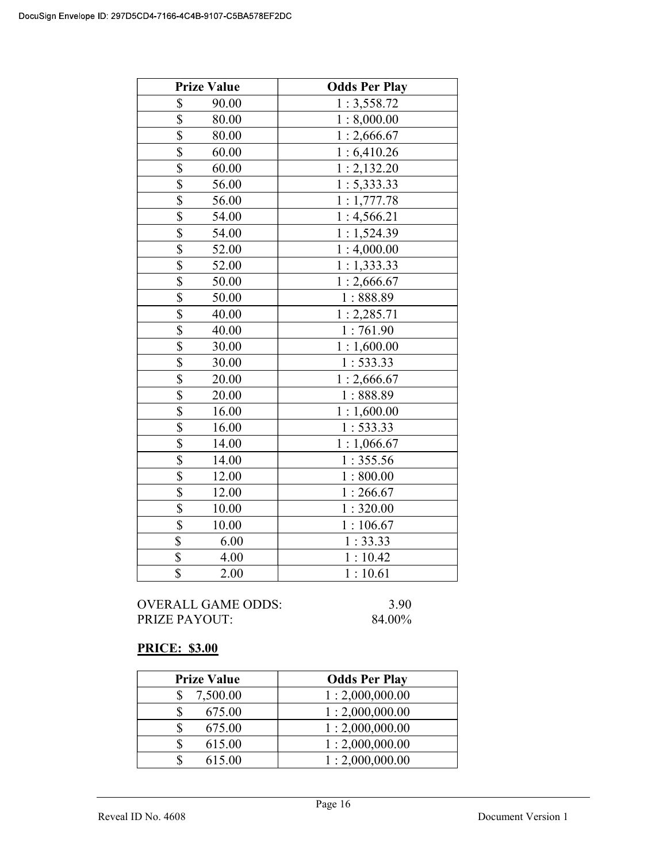|                         | <b>Prize Value</b> | <b>Odds Per Play</b> |
|-------------------------|--------------------|----------------------|
| \$                      | 90.00              | 1:3,558.72           |
| $\overline{\mathbb{S}}$ | 80.00              | 1:8,000.00           |
| \$                      | 80.00              | 1:2,666.67           |
| \$                      | 60.00              | 1:6,410.26           |
| $\overline{\$}$         | 60.00              | 1:2,132.20           |
| \$                      | 56.00              | 1: 5,333.33          |
| $\overline{\$}$         | 56.00              | 1:1,777.78           |
| $\overline{\mathbb{S}}$ | 54.00              | 1:4,566.21           |
| \$                      | 54.00              | 1:1,524.39           |
| $\overline{\$}$         | 52.00              | 1:4,000.00           |
| $\overline{\$}$         | 52.00              | 1:1,333.33           |
| \$                      | 50.00              | 1:2,666.67           |
| $\overline{\$}$         | 50.00              | 1:888.89             |
| \$                      | 40.00              | 1:2,285.71           |
| $\overline{\mathbb{S}}$ | 40.00              | 1:761.90             |
| \$                      | 30.00              | 1:1,600.00           |
| $\overline{\$}$         | 30.00              | 1:533.33             |
| \$                      | 20.00              | 1:2,666.67           |
| \$                      | 20.00              | 1:888.89             |
| \$                      | 16.00              | 1:1,600.00           |
| $\overline{\mathbb{S}}$ | 16.00              | 1:533.33             |
| \$                      | 14.00              | 1:1,066.67           |
| $\overline{\$}$         | 14.00              | 1:355.56             |
| \$                      | 12.00              | 1:800.00             |
| \$                      | 12.00              | 1:266.67             |
| $\overline{\mathbb{S}}$ | 10.00              | 1:320.00             |
| $\overline{\$}$         | 10.00              | 1:106.67             |
| \$                      | 6.00               | 1:33.33              |
| \$                      | 4.00               | 1:10.42              |
| $\overline{\$}$         | 2.00               | 1:10.61              |

# PRICE: \$3.00

| <b>Prize Value</b> | <b>Odds Per Play</b> |
|--------------------|----------------------|
| 7,500.00           | 1:2,000,000.00       |
| 675.00             | 1:2,000,000.00       |
| 675.00             | 1:2,000,000.00       |
| 615.00             | 1:2,000,000.00       |
| 615.00             | 1:2,000,000.00       |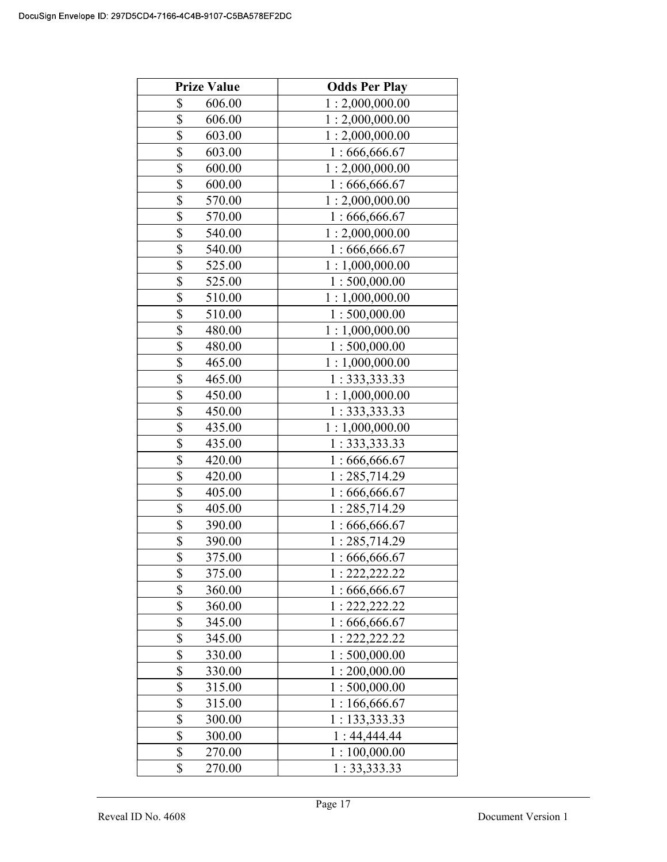| <b>Prize Value</b>                | <b>Odds Per Play</b> |
|-----------------------------------|----------------------|
| \$<br>606.00                      | 1:2,000,000.00       |
| $\overline{\$}$<br>606.00         | 1:2,000,000.00       |
| \$<br>603.00                      | 1:2,000,000.00       |
| $\overline{\$}$<br>603.00         | 1:666,666.67         |
| $\overline{\$}$<br>600.00         | 1:2,000,000.00       |
| \$<br>600.00                      | 1:666,666.67         |
| \$<br>570.00                      | 1:2,000,000.00       |
| \$<br>570.00                      | 1:666,666.67         |
| \$<br>540.00                      | 1:2,000,000.00       |
| $\overline{\$}$<br>540.00         | 1:666,666.67         |
| \$<br>525.00                      | 1:1,000,000.00       |
| $\overline{\$}$<br>525.00         | 1:500,000.00         |
| \$<br>510.00                      | 1:1,000,000.00       |
| \$<br>510.00                      | 1:500,000.00         |
| \$<br>480.00                      | 1:1,000,000.00       |
| \$<br>480.00                      | 1:500,000.00         |
| \$<br>465.00                      | 1:1,000,000.00       |
| \$<br>465.00                      | 1: 333, 333.33       |
| \$<br>450.00                      | 1:1,000,000.00       |
| \$<br>450.00                      | 1: 333, 333.33       |
| \$<br>435.00                      | 1:1,000,000.00       |
| \$<br>435.00                      | 1: 333, 333.33       |
| \$<br>420.00                      | 1:666,666.67         |
| \$<br>420.00                      | 1:285,714.29         |
| $\overline{\$}$<br>405.00         | 1:666,666.67         |
| $\overline{\$}$<br>405.00         | 1:285,714.29         |
| \$<br>390.00                      | 1:666,666.67         |
| \$<br>390.00                      | 1:285,714.29         |
| \$<br>375.00                      | 1:666,666.67         |
| \$<br>375.00                      | 1: 222, 222.22       |
| \$<br>360.00                      | 1:666,666.67         |
| \$<br>360.00                      | 1: 222, 222.22       |
| \$<br>345.00                      | 1:666,666.67         |
| $\overline{\$}$<br>345.00         | 1: 222, 222.22       |
| $\overline{\$}$<br>330.00         | 1:500,000.00         |
| \$<br>330.00                      | 1:200,000.00         |
| \$<br>315.00                      | 1:500,000.00         |
| \$<br>315.00                      | 1:166,666.67         |
| \$<br>300.00                      | 1: 133,333.33        |
| \$<br>300.00                      | 1:44,444.44          |
| $\overline{\mathbb{S}}$<br>270.00 | 1:100,000.00         |
| \$<br>270.00                      | 1: 33,333.33         |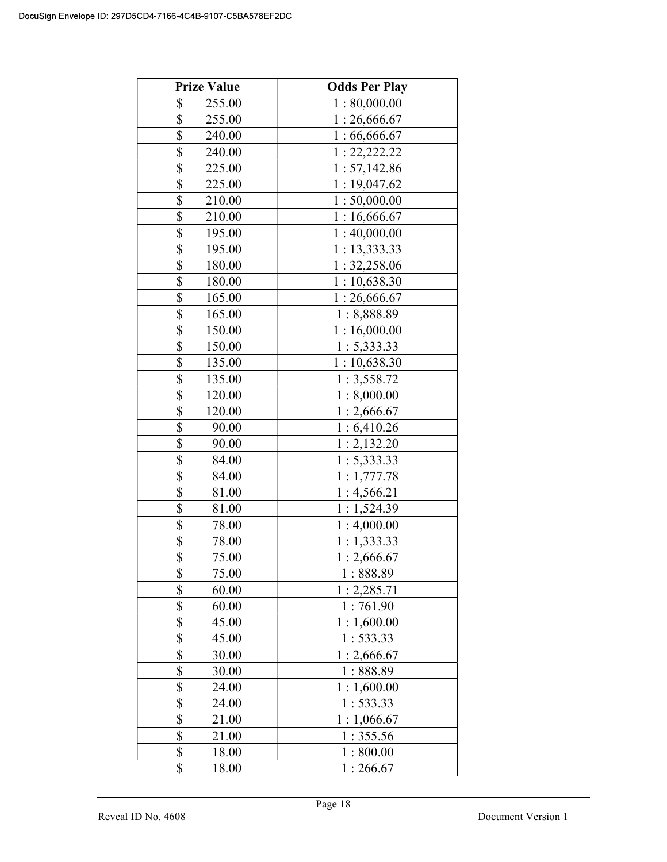| <b>Prize Value</b>                | <b>Odds Per Play</b> |
|-----------------------------------|----------------------|
| \$<br>255.00                      | 1:80,000.00          |
| \$<br>255.00                      | 1:26,666.67          |
| \$<br>240.00                      | 1:66,666.67          |
| \$<br>240.00                      | 1: 22, 222.22        |
| $\overline{\$}$<br>225.00         | 1:57,142.86          |
| \$<br>225.00                      | 1:19,047.62          |
| \$<br>210.00                      | 1:50,000.00          |
| \$<br>210.00                      | 1:16,666.67          |
| \$<br>195.00                      | 1:40,000.00          |
| $\overline{\mathbb{S}}$<br>195.00 | 1: 13,333.33         |
| \$<br>180.00                      | 1: 32,258.06         |
| $\overline{\mathbb{S}}$<br>180.00 | 1:10,638.30          |
| \$<br>165.00                      | 1:26,666.67          |
| \$<br>165.00                      | 1:8,888.89           |
| \$<br>150.00                      | 1:16,000.00          |
| \$<br>150.00                      | 1: 5,333.33          |
| \$<br>135.00                      | 1:10,638.30          |
| \$<br>135.00                      | 1:3,558.72           |
| \$<br>120.00                      | 1:8,000.00           |
| \$<br>120.00                      | 1:2,666.67           |
| \$<br>90.00                       | 1:6,410.26           |
| \$<br>90.00                       | 1:2,132.20           |
| \$<br>84.00                       | 1:5,333.33           |
| \$<br>84.00                       | 1:1,777.78           |
| \$<br>81.00                       | 1:4,566.21           |
| \$<br>81.00                       | 1:1,524.39           |
| \$<br>78.00                       | 1:4,000.00           |
| \$<br>78.00                       | 1:1,333.33           |
| \$<br>75.00                       | 1:2,666.67           |
| \$<br>75.00                       | 1:888.89             |
| \$<br>60.00                       | 1:2,285.71           |
| \$<br>60.00                       | 1:761.90             |
| $\overline{\$}$<br>45.00          | 1:1,600.00           |
| $\overline{\$}$<br>45.00          | 1: 533.33            |
| $\overline{\$}$<br>30.00          | 1:2,666.67           |
| \$<br>30.00                       | 1:888.89             |
| \$<br>24.00                       | 1:1,600.00           |
| \$<br>24.00                       | 1:533.33             |
| \$<br>21.00                       | 1:1,066.67           |
| \$<br>21.00                       | 1:355.56             |
| $\overline{\mathbb{S}}$<br>18.00  | 1:800.00             |
| \$<br>18.00                       | 1:266.67             |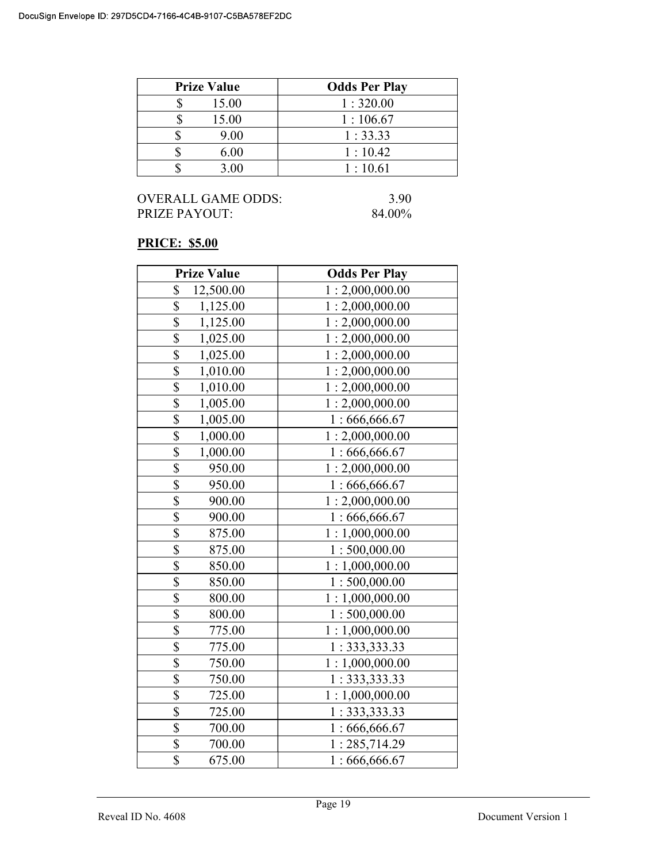| <b>Prize Value</b> | <b>Odds Per Play</b> |
|--------------------|----------------------|
| 15.00              | 1:320.00             |
| 15.00              | 1:106.67             |
| 9.00               | 1:33.33              |
| 6.00               | 1:10.42              |
| 3.00               | 1:10.61              |

# PRICE: \$5.00

| <b>Prize Value</b> | <b>Odds Per Play</b> |
|--------------------|----------------------|
| \$<br>12,500.00    | 1:2,000,000.00       |
| \$<br>1,125.00     | 1:2,000,000.00       |
| \$<br>1,125.00     | 1:2,000,000.00       |
| \$<br>1,025.00     | 1:2,000,000.00       |
| \$<br>1,025.00     | 1:2,000,000.00       |
| \$<br>1,010.00     | 1:2,000,000.00       |
| \$<br>1,010.00     | 1:2,000,000.00       |
| \$<br>1,005.00     | 1:2,000,000.00       |
| \$<br>1,005.00     | 1:666,666.67         |
| \$<br>1,000.00     | 1:2,000,000.00       |
| \$<br>1,000.00     | 1:666,666.67         |
| \$<br>950.00       | 1:2,000,000.00       |
| \$<br>950.00       | 1:666,666.67         |
| \$<br>900.00       | 1:2,000,000.00       |
| \$<br>900.00       | 1:666,666.67         |
| \$<br>875.00       | 1:1,000,000.00       |
| \$<br>875.00       | 1:500,000.00         |
| \$<br>850.00       | 1:1,000,000.00       |
| \$<br>850.00       | 1:500,000.00         |
| \$<br>800.00       | 1:1,000,000.00       |
| \$<br>800.00       | 1:500,000.00         |
| \$<br>775.00       | 1:1,000,000.00       |
| \$<br>775.00       | 1:333,333.33         |
| \$<br>750.00       | 1:1,000,000.00       |
| \$<br>750.00       | 1: 333, 333.33       |
| \$<br>725.00       | 1:1,000,000.00       |
| \$<br>725.00       | 1: 333, 333.33       |
| \$<br>700.00       | 1:666,666.67         |
| \$<br>700.00       | 1:285,714.29         |
| \$<br>675.00       | 1:666,666.67         |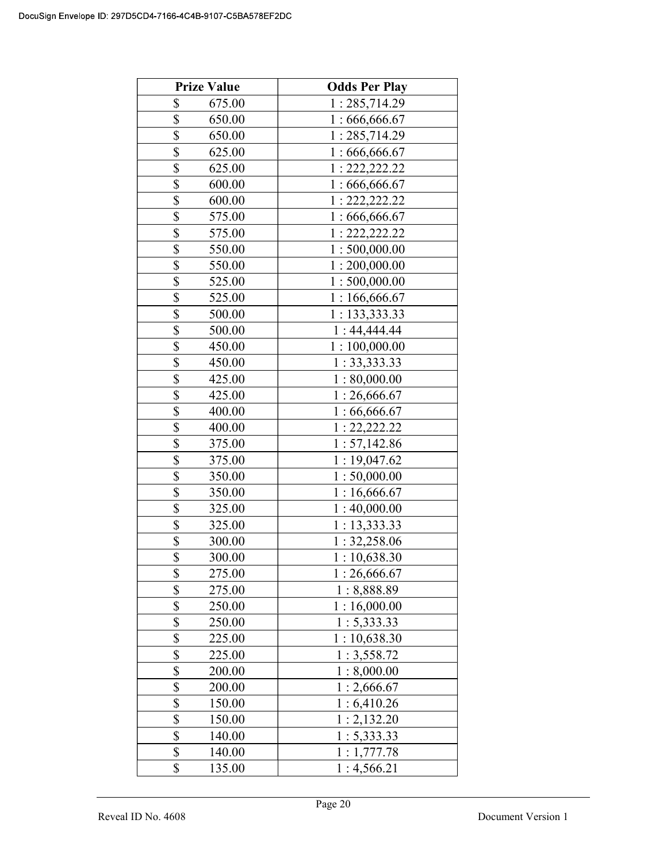| <b>Prize Value</b>                | <b>Odds Per Play</b> |
|-----------------------------------|----------------------|
| \$<br>675.00                      | 1:285,714.29         |
| \$<br>650.00                      | 1:666,666.67         |
| \$<br>650.00                      | 1:285,714.29         |
| $\overline{\$}$<br>625.00         | 1:666,666.67         |
| $\overline{\$}$<br>625.00         | 1: 222, 222.22       |
| \$<br>600.00                      | 1:666,666.67         |
| \$<br>600.00                      | 1: 222, 222.22       |
| \$<br>575.00                      | 1:666,666.67         |
| \$<br>575.00                      | 1: 222, 222.22       |
| \$<br>550.00                      | 1:500,000.00         |
| \$<br>550.00                      | 1:200,000.00         |
| \$<br>525.00                      | 1:500,000.00         |
| \$<br>525.00                      | 1:166,666.67         |
| \$<br>500.00                      | 1: 133,333.33        |
| \$<br>500.00                      | 1:44,444.44          |
| \$<br>450.00                      | 1:100,000.00         |
| \$<br>450.00                      | 1: 33,333.33         |
| \$<br>425.00                      | 1:80,000.00          |
| \$<br>425.00                      | 1:26,666.67          |
| \$<br>400.00                      | 1:66,666.67          |
| \$<br>400.00                      | 1: 22, 222.22        |
| \$<br>375.00                      | 1: 57,142.86         |
| \$<br>375.00                      | 1:19,047.62          |
| \$<br>350.00                      | 1:50,000.00          |
| \$<br>350.00                      | 1:16,666.67          |
| \$<br>325.00                      | 1:40,000.00          |
| \$<br>325.00                      | 1:13,333.33          |
| \$<br>300.00                      | 1: 32,258.06         |
| \$<br>300.00                      | 1:10,638.30          |
| \$<br>275.00                      | 1:26,666.67          |
| \$<br>275.00                      | 1:8,888.89           |
| \$<br>250.00                      | 1:16,000.00          |
| \$<br>250.00                      | 1: 5,333.33          |
| \$<br>225.00                      | 1:10,638.30          |
| $\overline{\mathbb{S}}$<br>225.00 | 1:3,558.72           |
| \$<br>200.00                      | 1:8,000.00           |
| \$<br>200.00                      | 1:2,666.67           |
| \$<br>150.00                      | 1:6,410.26           |
| \$<br>150.00                      | 1:2,132.20           |
| \$<br>140.00                      | 1: 5,333.33          |
| \$<br>140.00                      | 1:1,777.78           |
| \$<br>135.00                      | 1:4,566.21           |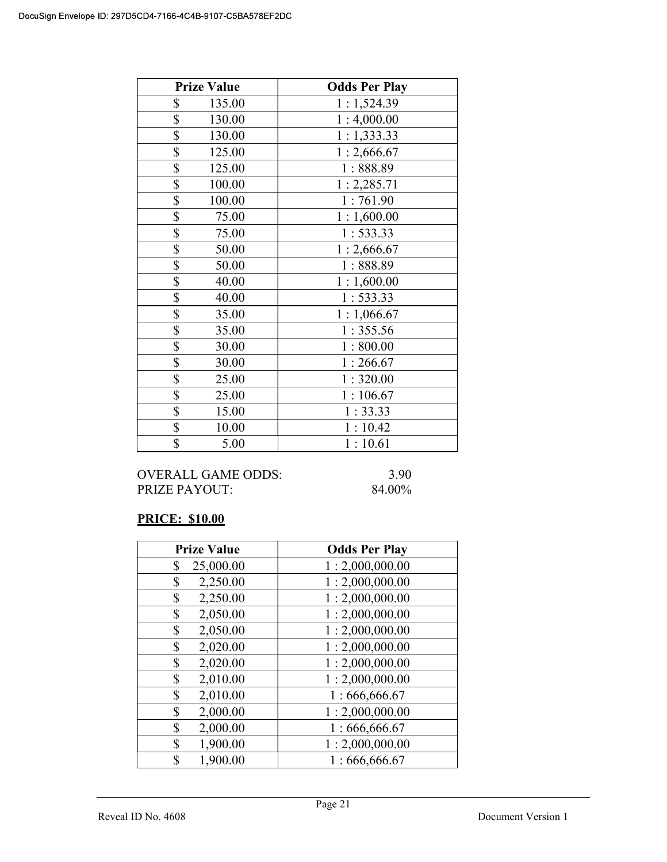| <b>Prize Value</b> | <b>Odds Per Play</b> |
|--------------------|----------------------|
| \$<br>135.00       | 1:1,524.39           |
| \$<br>130.00       | 1:4,000.00           |
| \$<br>130.00       | 1:1,333.33           |
| \$<br>125.00       | 1:2,666.67           |
| \$<br>125.00       | 1:888.89             |
| \$<br>100.00       | 1:2,285.71           |
| \$<br>100.00       | 1:761.90             |
| \$<br>75.00        | 1:1,600.00           |
| \$<br>75.00        | 1:533.33             |
| \$<br>50.00        | 1:2,666.67           |
| \$<br>50.00        | 1:888.89             |
| \$<br>40.00        | 1:1,600.00           |
| \$<br>40.00        | 1: 533.33            |
| \$<br>35.00        | 1:1,066.67           |
| \$<br>35.00        | 1:355.56             |
| \$<br>30.00        | 1:800.00             |
| \$<br>30.00        | 1:266.67             |
| \$<br>25.00        | 1:320.00             |
| \$<br>25.00        | 1:106.67             |
| \$<br>15.00        | 1:33.33              |
| \$<br>10.00        | 1:10.42              |
| \$<br>5.00         | 1:10.61              |

#### OVERALL GAME ODDS: 3.90 PRIZE PAYOUT: 84.00%

# PRICE: \$10.00

| <b>Prize Value</b> | <b>Odds Per Play</b> |
|--------------------|----------------------|
| 25,000.00<br>\$    | 1:2,000,000.00       |
| 2,250.00<br>\$     | 1:2,000,000.00       |
| 2,250.00<br>\$     | 1:2,000,000.00       |
| 2,050.00<br>\$     | 1:2,000,000.00       |
| 2,050.00<br>\$     | 1:2,000,000.00       |
| 2,020.00<br>\$     | 1:2,000,000.00       |
| 2,020.00<br>\$     | 1:2,000,000.00       |
| \$<br>2,010.00     | 1:2,000,000.00       |
| \$<br>2,010.00     | 1:666,666.67         |
| 2,000.00<br>\$     | 1:2,000,000.00       |
| \$<br>2,000.00     | 1:666,666.67         |
| 1,900.00<br>\$     | 1:2,000,000.00       |
| 1,900.00<br>\$     | 1:666,666.67         |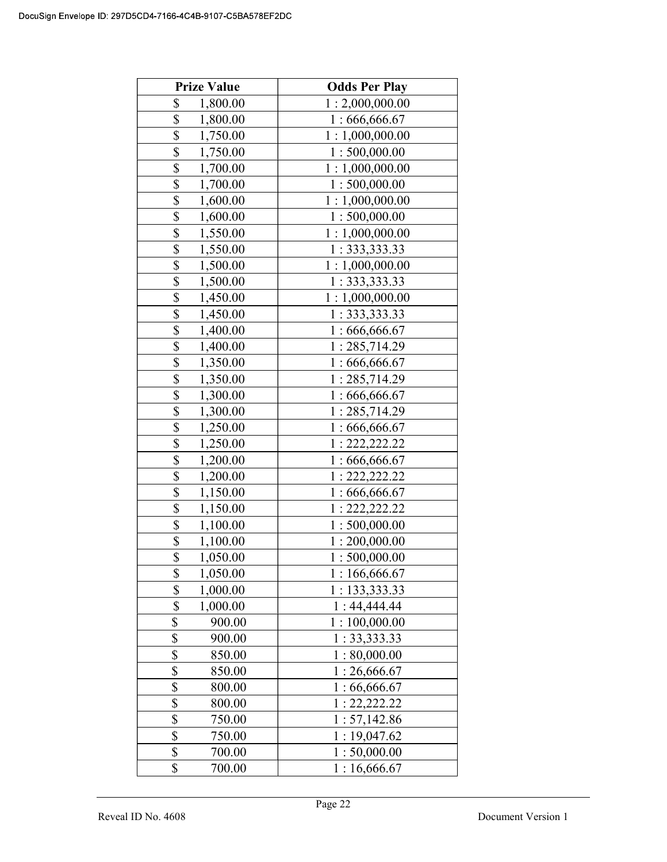| <b>Prize Value</b> | <b>Odds Per Play</b> |
|--------------------|----------------------|
| \$<br>1,800.00     | 1:2,000,000.00       |
| \$<br>1,800.00     | 1:666,666.67         |
| \$<br>1,750.00     | 1:1,000,000.00       |
| \$<br>1,750.00     | 1:500,000.00         |
| \$<br>1,700.00     | 1:1,000,000.00       |
| \$<br>1,700.00     | 1:500,000.00         |
| \$<br>1,600.00     | 1:1,000,000.00       |
| \$<br>1,600.00     | 1:500,000.00         |
| \$<br>1,550.00     | 1:1,000,000.00       |
| \$<br>1,550.00     | 1: 333, 333.33       |
| \$<br>1,500.00     | 1:1,000,000.00       |
| \$<br>1,500.00     | 1: 333, 333.33       |
| \$<br>1,450.00     | 1:1,000,000.00       |
| \$<br>1,450.00     | 1: 333, 333.33       |
| \$<br>1,400.00     | 1:666,666.67         |
| \$<br>1,400.00     | 1:285,714.29         |
| \$<br>1,350.00     | 1:666,666.67         |
| \$<br>1,350.00     | 1:285,714.29         |
| \$<br>1,300.00     | 1:666,666.67         |
| \$<br>1,300.00     | 1:285,714.29         |
| \$<br>1,250.00     | 1:666,666.67         |
| \$<br>1,250.00     | 1:222,222.22         |
| \$<br>1,200.00     | 1:666,666.67         |
| \$<br>1,200.00     | 1: 222, 222.22       |
| \$<br>1,150.00     | 1:666,666.67         |
| \$<br>1,150.00     | 1: 222, 222.22       |
| \$<br>1,100.00     | 1:500,000.00         |
| \$<br>1,100.00     | 1:200,000.00         |
| \$<br>1,050.00     | 1:500,000.00         |
| \$<br>1,050.00     | 1:166,666.67         |
| \$<br>1,000.00     | 1:133,333.33         |
| \$<br>1,000.00     | 1:44,444.44          |
| \$<br>900.00       | 1:100,000.00         |
| \$<br>900.00       | 1: 33, 333.33        |
| \$<br>850.00       | 1:80,000.00          |
| \$<br>850.00       | 1:26,666.67          |
| \$<br>800.00       | 1:66,666.67          |
| \$<br>800.00       | 1: 22, 222.22        |
| \$<br>750.00       | 1: 57,142.86         |
| \$<br>750.00       | 1:19,047.62          |
| \$<br>700.00       | 1:50,000.00          |
| \$<br>700.00       | 1:16,666.67          |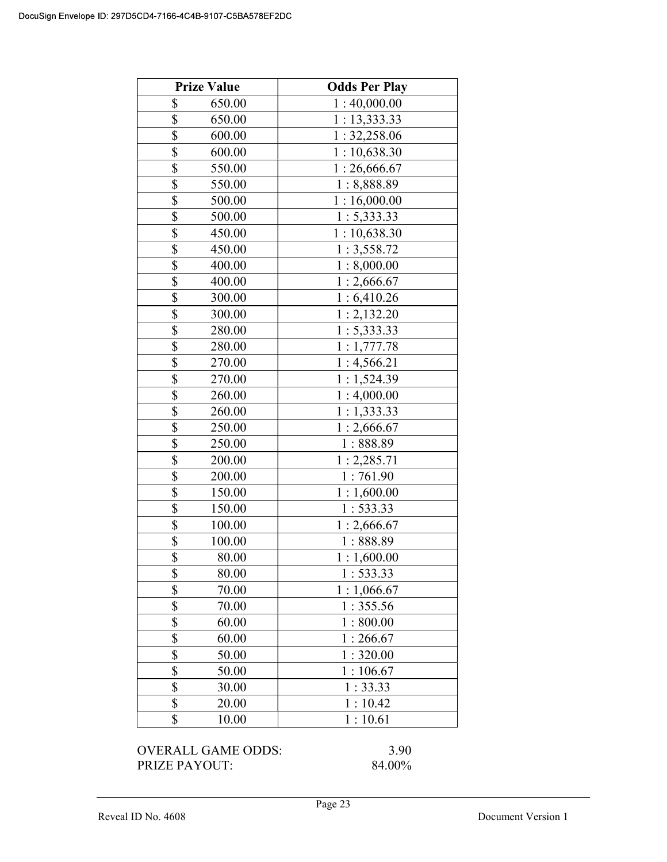|                         | <b>Prize Value</b> | <b>Odds Per Play</b> |
|-------------------------|--------------------|----------------------|
| \$                      | 650.00             | 1:40,000.00          |
| \$                      | 650.00             | 1:13,333.33          |
| \$                      | 600.00             | 1: 32,258.06         |
| \$                      | 600.00             | 1:10,638.30          |
| \$                      | 550.00             | 1:26,666.67          |
| \$                      | 550.00             | 1:8,888.89           |
| \$                      | 500.00             | 1:16,000.00          |
| $\frac{1}{2}$           | 500.00             | 1: 5,333.33          |
| \$                      | 450.00             | 1:10,638.30          |
| \$                      | 450.00             | 1:3,558.72           |
| $\overline{\$}$         | 400.00             | 1:8,000.00           |
| $\overline{\$}$         | 400.00             | 1:2,666.67           |
| \$                      | 300.00             | 1:6,410.26           |
| \$                      | 300.00             | 1:2,132.20           |
| \$                      | 280.00             | 1: 5,333.33          |
| \$                      | 280.00             | 1:1,777.78           |
| \$                      | 270.00             | 1:4,566.21           |
| $\overline{\mathbb{S}}$ | 270.00             | 1:1,524.39           |
| \$                      | 260.00             | 1:4,000.00           |
| \$                      | 260.00             | 1:1,333.33           |
| \$                      | 250.00             | 1:2,666.67           |
| \$                      | 250.00             | 1:888.89             |
| \$                      | 200.00             | 1: 2,285.71          |
| \$                      | 200.00             | 1:761.90             |
| \$                      | 150.00             | 1:1,600.00           |
| \$                      | 150.00             | 1: 533.33            |
| \$                      | 100.00             | 1:2,666.67           |
| \$                      | 100.00             | 1:888.89             |
| \$                      | 80.00              | 1:1,600.00           |
| \$                      | 80.00              | 1: 533.33            |
| \$                      | 70.00              | 1:1,066.67           |
| \$                      | 70.00              | 1:355.56             |
| \$                      | 60.00              | 1:800.00             |
| \$                      | 60.00              | 1:266.67             |
| \$                      | 50.00              | 1:320.00             |
| \$                      | 50.00              | 1:106.67             |
| \$                      | 30.00              | 1:33.33              |
| \$                      | 20.00              | 1:10.42              |
| \$                      | 10.00              | 1:10.61              |

PRIZE PAYOUT: 84.00%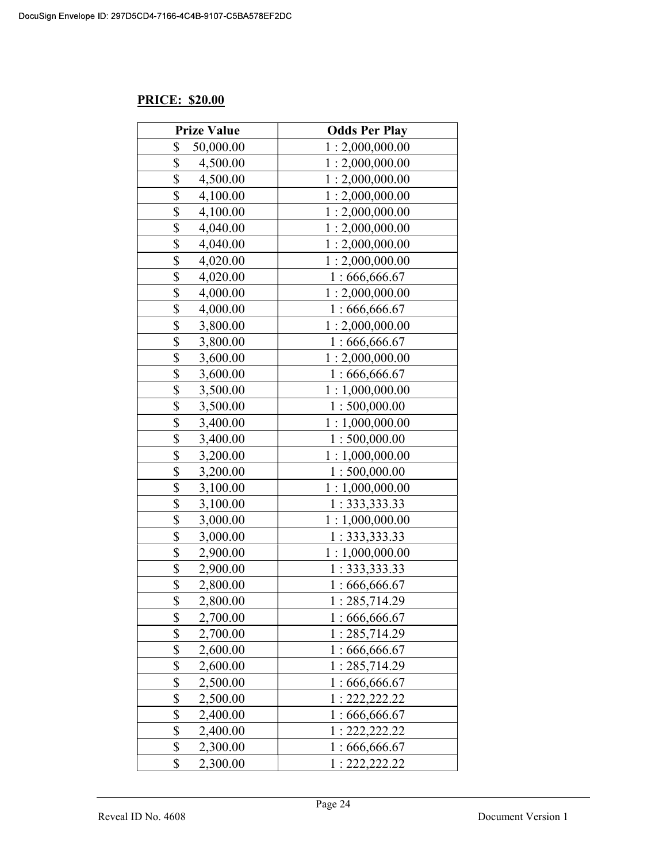# PRICE: \$20.00

| <b>Prize Value</b>          | <b>Odds Per Play</b> |
|-----------------------------|----------------------|
| \$<br>50,000.00             | 1:2,000,000.00       |
| \$<br>4,500.00              | 1:2,000,000.00       |
| \$<br>4,500.00              | 1:2,000,000.00       |
| \$<br>4,100.00              | 1:2,000,000.00       |
| \$<br>4,100.00              | 1:2,000,000.00       |
| \$<br>4,040.00              | 1:2,000,000.00       |
| \$<br>4,040.00              | 1:2,000,000.00       |
| \$<br>4,020.00              | 1:2,000,000.00       |
| \$<br>4,020.00              | 1:666,666.67         |
| \$<br>4,000.00              | 1:2,000,000.00       |
| \$<br>4,000.00              | 1:666,666.67         |
| \$<br>3,800.00              | 1:2,000,000.00       |
| \$<br>3,800.00              | 1:666,666.67         |
| \$<br>3,600.00              | 1:2,000,000.00       |
| \$<br>3,600.00              | 1:666,666.67         |
| \$<br>3,500.00              | 1:1,000,000.00       |
| \$<br>3,500.00              | 1:500,000.00         |
| \$<br>3,400.00              | 1:1,000,000.00       |
| \$<br>3,400.00              | 1:500,000.00         |
| \$<br>3,200.00              | 1:1,000,000.00       |
| \$<br>3,200.00              | 1:500,000.00         |
| \$<br>3,100.00              | 1:1,000,000.00       |
| \$<br>3,100.00              | 1: 333, 333.33       |
| $\overline{\$}$<br>3,000.00 | 1:1,000,000.00       |
| \$<br>3,000.00              | 1: 333, 333.33       |
| \$<br>2,900.00              | 1:1,000,000.00       |
| \$<br>2,900.00              | 1:333,333.33         |
| \$<br>2,800.00              | 1:666,666.67         |
| \$<br>2,800.00              | 1:285,714.29         |
| \$<br>2,700.00              | 1:666,666.67         |
| \$<br>2,700.00              | : 285,714.29         |
| \$<br>2,600.00              | 1:666,666.67         |
| \$<br>2,600.00              | 1:285,714.29         |
| \$<br>2,500.00              | :666,666.67          |
| \$<br>2,500.00              | : 222, 222.22        |
| \$<br>2,400.00              | 1:666,666.67         |
| \$<br>2,400.00              | : 222, 222.22        |
| \$<br>2,300.00              | 1:666,666.67         |
| \$<br>2,300.00              | 1: 222, 222.22       |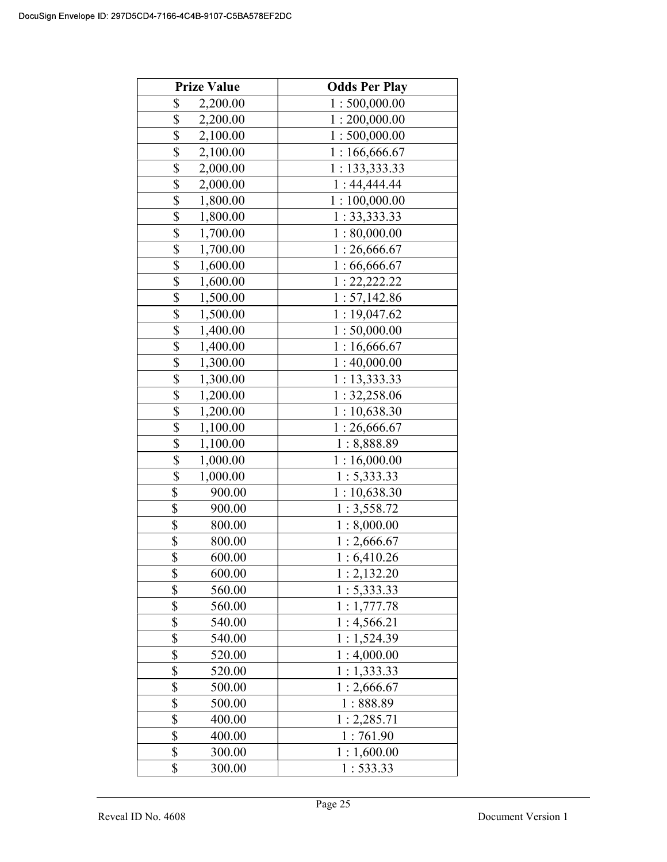| <b>Prize Value</b>        | <b>Odds Per Play</b> |
|---------------------------|----------------------|
| \$<br>2,200.00            | 1:500,000.00         |
| \$<br>2,200.00            | 1:200,000.00         |
| \$<br>2,100.00            | 1:500,000.00         |
| \$<br>2,100.00            | 1:166,666.67         |
| \$<br>2,000.00            | 1: 133,333.33        |
| \$<br>2,000.00            | 1:44,444.44          |
| \$<br>1,800.00            | 1:100,000.00         |
| \$<br>1,800.00            | 1: 33,333.33         |
| \$<br>1,700.00            | 1:80,000.00          |
| \$<br>1,700.00            | 1:26,666.67          |
| \$<br>1,600.00            | 1:66,666.67          |
| \$<br>1,600.00            | 1: 22, 222.22        |
| \$<br>1,500.00            | 1: 57,142.86         |
| \$<br>1,500.00            | 1:19,047.62          |
| \$<br>1,400.00            | 1:50,000.00          |
| \$<br>1,400.00            | 1:16,666.67          |
| \$<br>1,300.00            | 1:40,000.00          |
| \$<br>1,300.00            | 1:13,333.33          |
| \$<br>1,200.00            | 1: 32,258.06         |
| \$<br>1,200.00            | 1:10,638.30          |
| \$<br>1,100.00            | 1:26,666.67          |
| \$<br>1,100.00            | 1:8,888.89           |
| \$<br>1,000.00            | 1:16,000.00          |
| \$<br>1,000.00            | 1: 5,333.33          |
| \$<br>900.00              | 1:10,638.30          |
| \$<br>900.00              | 1:3,558.72           |
| \$<br>800.00              | 1:8,000.00           |
| \$<br>800.00              | 1:2,666.67           |
| \$<br>600.00              | 1:6,410.26           |
| \$<br>600.00              | 1:2,132.20           |
| \$<br>560.00              | 1: 5,333.33          |
| \$<br>560.00              | 1:1,777.78           |
| \$<br>540.00              | 1:4,566.21           |
| $\overline{\$}$<br>540.00 | 1:1,524.39           |
| \$<br>520.00              | 1:4,000.00           |
| \$<br>520.00              | 1:1,333.33           |
| \$<br>500.00              | 1:2,666.67           |
| \$<br>500.00              | 1:888.89             |
| \$<br>400.00              | 1:2,285.71           |
| \$<br>400.00              | 1:761.90             |
| \$<br>300.00              | 1:1,600.00           |
| \$<br>300.00              | 1: 533.33            |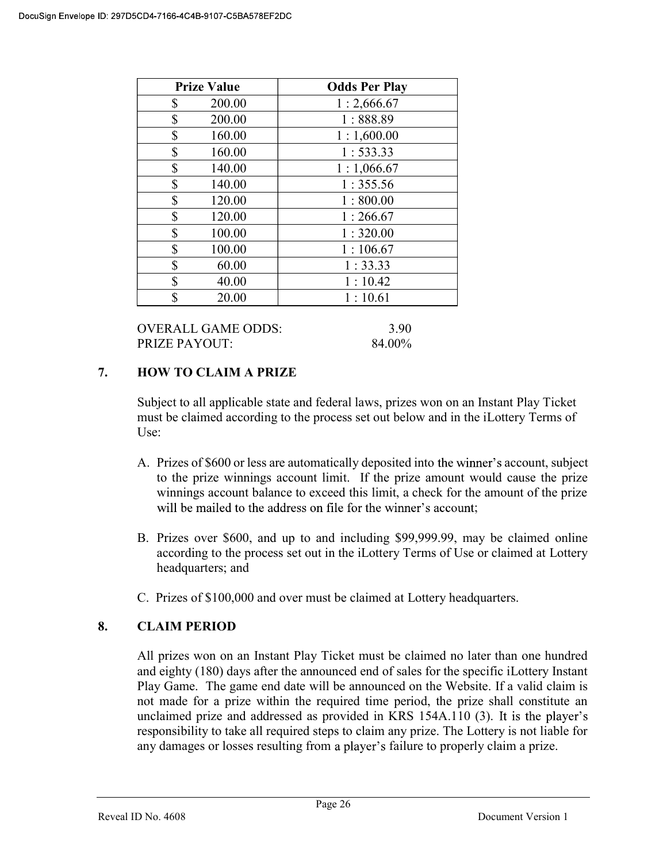| <b>Prize Value</b> | <b>Odds Per Play</b> |
|--------------------|----------------------|
| \$<br>200.00       | 1:2,666.67           |
| \$<br>200.00       | 1:888.89             |
| \$<br>160.00       | 1:1,600.00           |
| \$<br>160.00       | 1:533.33             |
| \$<br>140.00       | 1:1,066.67           |
| \$<br>140.00       | 1:355.56             |
| \$<br>120.00       | 1:800.00             |
| \$<br>120.00       | 1:266.67             |
| \$<br>100.00       | 1:320.00             |
| \$<br>100.00       | 1:106.67             |
| \$<br>60.00        | 1:33.33              |
| \$<br>40.00        | 1:10.42              |
| \$<br>20.00        | 1:10.61              |

OVERALL GAME ODDS: 3.90 PRIZE PAYOUT: 84.00%

### 7. HOW TO CLAIM A PRIZE

Subject to all applicable state and federal laws, prizes won on an Instant Play Ticket must be claimed according to the process set out below and in the iLottery Terms of Use:

- A. Prizes of \$600 or less are automatically deposited into the winner's account, subject to the prize winnings account limit. If the prize amount would cause the prize winnings account balance to exceed this limit, a check for the amount of the prize will be mailed to the address on file for the winner's account:
- B. Prizes over \$600, and up to and including \$99,999.99, may be claimed online according to the process set out in the iLottery Terms of Use or claimed at Lottery headquarters; and
- C. Prizes of \$100,000 and over must be claimed at Lottery headquarters.

# 8. CLAIM PERIOD

 All prizes won on an Instant Play Ticket must be claimed no later than one hundred and eighty (180) days after the announced end of sales for the specific iLottery Instant Play Game. The game end date will be announced on the Website. If a valid claim is not made for a prize within the required time period, the prize shall constitute an unclaimed prize and addressed as provided in KRS 154A.110 (3). It is the player's responsibility to take all required steps to claim any prize. The Lottery is not liable for any damages or losses resulting from a player's failure to properly claim a prize.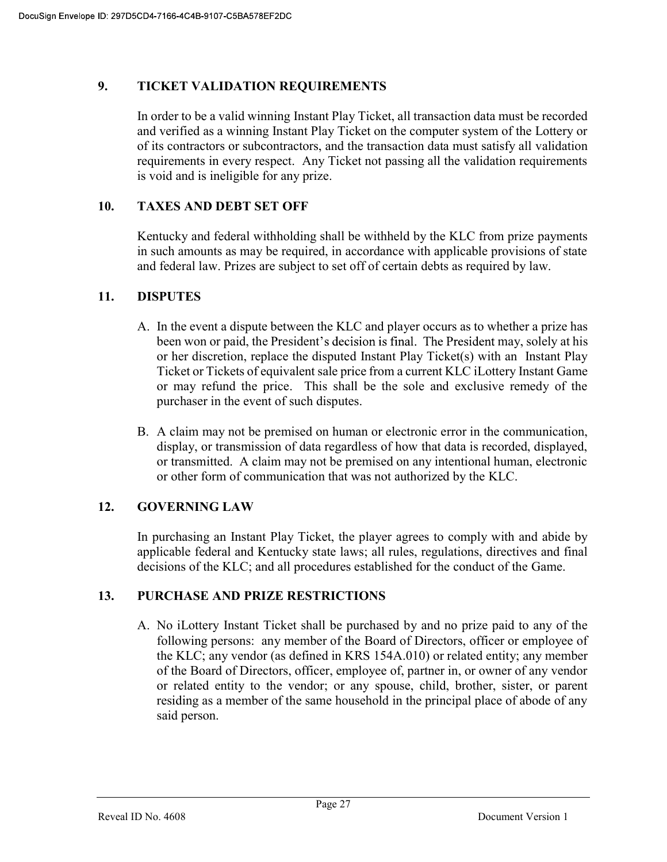### 9. TICKET VALIDATION REQUIREMENTS

In order to be a valid winning Instant Play Ticket, all transaction data must be recorded and verified as a winning Instant Play Ticket on the computer system of the Lottery or of its contractors or subcontractors, and the transaction data must satisfy all validation requirements in every respect. Any Ticket not passing all the validation requirements is void and is ineligible for any prize.

### 10. TAXES AND DEBT SET OFF

 Kentucky and federal withholding shall be withheld by the KLC from prize payments in such amounts as may be required, in accordance with applicable provisions of state and federal law. Prizes are subject to set off of certain debts as required by law.

### 11. DISPUTES

- A. In the event a dispute between the KLC and player occurs as to whether a prize has been won or paid, the President's decision is final. The President may, solely at his or her discretion, replace the disputed Instant Play Ticket(s) with an Instant Play Ticket or Tickets of equivalent sale price from a current KLC iLottery Instant Game or may refund the price. This shall be the sole and exclusive remedy of the purchaser in the event of such disputes.
- B. A claim may not be premised on human or electronic error in the communication, display, or transmission of data regardless of how that data is recorded, displayed, or transmitted. A claim may not be premised on any intentional human, electronic or other form of communication that was not authorized by the KLC.

### 12. GOVERNING LAW

 In purchasing an Instant Play Ticket, the player agrees to comply with and abide by applicable federal and Kentucky state laws; all rules, regulations, directives and final decisions of the KLC; and all procedures established for the conduct of the Game.

#### 13. PURCHASE AND PRIZE RESTRICTIONS

A. No iLottery Instant Ticket shall be purchased by and no prize paid to any of the following persons: any member of the Board of Directors, officer or employee of the KLC; any vendor (as defined in KRS 154A.010) or related entity; any member of the Board of Directors, officer, employee of, partner in, or owner of any vendor or related entity to the vendor; or any spouse, child, brother, sister, or parent residing as a member of the same household in the principal place of abode of any said person.